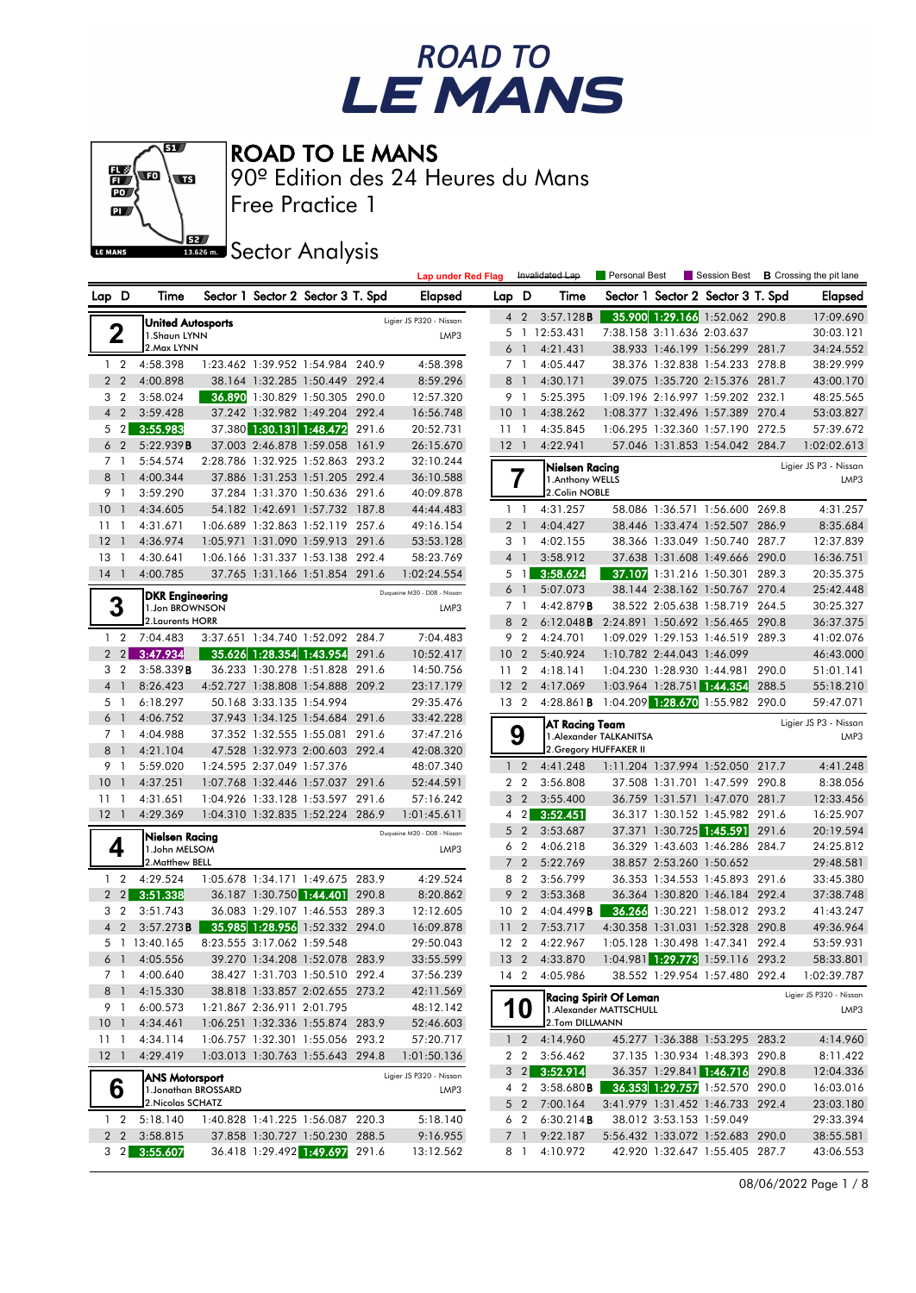



Free Practice 1 90º Edition des 24 Heures du Mans

**J**BEZ Sector Analysis

|                                  |                                       |                            |                                                                  | <b>Lap under Red Flag</b>       |                 |                                  | Invalidated Lap      | <b>Personal Best</b>                       |                            |                                                                    | Session Best <b>B</b> Crossing the pit lane |
|----------------------------------|---------------------------------------|----------------------------|------------------------------------------------------------------|---------------------------------|-----------------|----------------------------------|----------------------|--------------------------------------------|----------------------------|--------------------------------------------------------------------|---------------------------------------------|
| Lap D                            | Time                                  |                            | Sector 1 Sector 2 Sector 3 T. Spd                                | <b>Elapsed</b>                  | Lap D           |                                  | Time                 |                                            |                            | Sector 1 Sector 2 Sector 3 T. Spd                                  | Elapsed                                     |
|                                  | United Autosports                     |                            |                                                                  | Ligier JS P320 - Nissan         |                 | $4\quad2$                        | 3:57.128B            |                                            |                            | 35.900 1:29.166 1:52.062 290.8                                     | 17:09.690                                   |
| 2                                | 1.Shaun LYNN                          |                            |                                                                  | LMP3                            | 5               |                                  | 1 12:53.431          |                                            | 7:38.158 3:11.636 2:03.637 |                                                                    | 30:03.121                                   |
|                                  | 2. Max LYNN                           |                            |                                                                  |                                 | 6               | $\overline{1}$                   | 4:21.431             |                                            |                            | 38.933 1:46.199 1:56.299 281.7                                     | 34:24.552                                   |
| $1\quad 2$                       | 4:58.398                              |                            | 1:23.462 1:39.952 1:54.984 240.9                                 | 4:58.398                        | 7 1             |                                  | 4:05.447             |                                            |                            | 38.376 1:32.838 1:54.233 278.8                                     | 38:29.999                                   |
| 2 <sub>2</sub>                   | 4:00.898                              |                            | 38.164 1:32.285 1:50.449 292.4                                   | 8:59.296                        | 8               | $\overline{1}$                   | 4:30.171             |                                            |                            | 39.075 1:35.720 2:15.376 281.7                                     | 43:00.170                                   |
| 3 <sub>2</sub>                   | 3:58.024                              |                            | 36.890 1:30.829 1:50.305 290.0                                   | 12:57.320                       | 9 1             |                                  | 5:25.395             |                                            |                            | 1:09.196 2:16.997 1:59.202 232.1                                   | 48:25.565                                   |
| $\overline{4}$<br>$\overline{2}$ | 3:59.428                              |                            | 37.242 1:32.982 1:49.204 292.4                                   | 16:56.748                       | 10              | $\overline{1}$                   | 4:38.262             |                                            |                            | 1:08.377 1:32.496 1:57.389 270.4                                   | 53:03.827                                   |
| 5 <sub>2</sub>                   | 3:55.983                              |                            | 37.380 1:30.131 1:48.472 291.6                                   | 20:52.731                       | $11-1$          |                                  | 4:35.845             |                                            |                            | 1:06.295 1:32.360 1:57.190 272.5                                   | 57:39.672                                   |
| 6 <sub>2</sub>                   | 5:22.939B                             |                            | 37.003 2:46.878 1:59.058 161.9                                   | 26:15.670                       | $12-1$          |                                  | 4:22.941             |                                            |                            | 57.046 1:31.853 1:54.042 284.7                                     | 1:02:02.613                                 |
| 7 <sub>1</sub>                   | 5:54.574                              |                            | 2:28.786 1:32.925 1:52.863 293.2                                 | 32:10.244                       |                 |                                  | Nielsen Racing       |                                            |                            |                                                                    | Ligier JS P3 - Nissan                       |
| 8<br>$\overline{1}$              | 4:00.344                              |                            | 37.886 1:31.253 1:51.205 292.4                                   | 36:10.588                       |                 |                                  | 1.Anthony WELLS      |                                            |                            |                                                                    | LMP3                                        |
| 9 1                              | 3:59.290                              |                            | 37.284 1:31.370 1:50.636 291.6                                   | 40:09.878                       |                 |                                  | 2.Colin NOBLE        |                                            |                            |                                                                    |                                             |
| $10-1$                           | 4:34.605                              |                            | 54.182 1:42.691 1:57.732 187.8                                   | 44:44.483                       |                 | $1\quad$                         | 4:31.257             |                                            |                            | 58.086 1:36.571 1:56.600 269.8                                     | 4:31.257                                    |
| 11<br>$\overline{1}$             | 4:31.671                              |                            | 1:06.689 1:32.863 1:52.119 257.6                                 | 49:16.154                       | 2 <sub>1</sub>  |                                  | 4:04.427             |                                            |                            | 38.446 1:33.474 1:52.507 286.9                                     | 8:35.684                                    |
| 12<br>$\overline{1}$             | 4:36.974                              |                            | 1:05.971 1:31.090 1:59.913 291.6                                 | 53:53.128                       |                 | 31                               | 4:02.155             |                                            |                            | 38.366 1:33.049 1:50.740 287.7                                     | 12:37.839                                   |
| $13-1$                           | 4:30.641                              |                            | 1:06.166 1:31.337 1:53.138 292.4                                 | 58:23.769                       | 4 <sup>1</sup>  |                                  | 3:58.912             |                                            |                            | 37.638 1:31.608 1:49.666 290.0                                     | 16:36.751                                   |
| $14-1$                           | 4:00.785                              |                            | 37.765 1:31.166 1:51.854 291.6                                   | 1:02:24.554                     | 5               | $\overline{1}$                   | 3:58.624             |                                            |                            | 37.107 1:31.216 1:50.301 289.3                                     | 20:35.375                                   |
|                                  | DKR Engineering                       |                            |                                                                  | Duqueine M30 - D08 - Nissan     | 6 1             |                                  | 5:07.073             |                                            |                            | 38.144 2:38.162 1:50.767 270.4                                     | 25:42.448                                   |
| 3                                | 1.Jon BROWNSON                        |                            |                                                                  | LMP3                            | 71              |                                  | 4:42.879B            |                                            |                            | 38.522 2:05.638 1:58.719 264.5                                     | 30:25.327                                   |
|                                  | 2. Laurents HORR                      |                            |                                                                  |                                 | 8 2             |                                  |                      | 6:12.048B 2:24.891 1:50.692 1:56.465 290.8 |                            |                                                                    | 36:37.375                                   |
| $1\quad 2$                       | 7:04.483                              |                            | 3:37.651 1:34.740 1:52.092 284.7                                 | 7:04.483                        | 9               | $\overline{2}$                   | 4:24.701             |                                            |                            | 1:09.029 1:29.153 1:46.519 289.3                                   | 41:02.076                                   |
| 2 <sub>2</sub>                   | 3:47.934                              |                            | 35.626 1:28.354 1:43.954 291.6                                   | 10:52.417                       | 10              | $\overline{2}$                   | 5:40.924             |                                            | 1:10.782 2:44.043 1:46.099 |                                                                    | 46:43.000                                   |
| 3 <sub>2</sub>                   | 3:58.339B                             |                            | 36.233 1:30.278 1:51.828 291.6                                   | 14:50.756                       | 11              | $\overline{2}$                   | 4:18.141             |                                            |                            | 1:04.230 1:28.930 1:44.981 290.0                                   | 51:01.141                                   |
| 4 <sup>1</sup>                   | 8:26.423                              |                            | 4:52.727 1:38.808 1:54.888 209.2                                 | 23:17.179                       | 12 <sub>2</sub> |                                  | 4:17.069             |                                            |                            | 1:03.964 1:28.751 1:44.354 288.5                                   | 55:18.210                                   |
| 5 1                              | 6:18.297                              | 50.168 3:33.135 1:54.994   |                                                                  | 29:35.476                       | 13 2            |                                  | $4:28.861$ <b>B</b>  |                                            |                            | 1:04.209 1:28.670 1:55.982 290.0                                   | 59:47.071                                   |
| 6<br>$\overline{1}$              | 4:06.752                              |                            | 37.943 1:34.125 1:54.684 291.6                                   | 33:42.228                       |                 |                                  | AT Racing Team       |                                            |                            |                                                                    | Ligier JS P3 - Nissan                       |
| 7 <sub>1</sub>                   | 4:04.988                              |                            | 37.352 1:32.555 1:55.081 291.6                                   | 37:47.216                       |                 | 9                                |                      | 1. Alexander TALKANITSA                    |                            |                                                                    | LMP3                                        |
| 8<br>$\overline{1}$              | 4:21.104                              |                            | 47.528 1:32.973 2:00.603 292.4                                   | 42:08.320                       |                 |                                  |                      | 2. Gregory HUFFAKER II                     |                            |                                                                    |                                             |
| 9 1<br>10<br>$\mathbf{1}$        | 5:59.020<br>4:37.251                  | 1:24.595 2:37.049 1:57.376 | 1:07.768 1:32.446 1:57.037 291.6                                 | 48:07.340                       |                 | 1 <sub>2</sub><br>2 <sub>2</sub> | 4:41.248<br>3:56.808 |                                            |                            | 1:11.204 1:37.994 1:52.050 217.7<br>37.508 1:31.701 1:47.599 290.8 | 4:41.248<br>8:38.056                        |
| $11-1$                           | 4:31.651                              |                            | 1:04.926 1:33.128 1:53.597 291.6                                 | 52:44.591<br>57:16.242          | 3 <sub>2</sub>  |                                  | 3:55.400             |                                            |                            | 36.759 1:31.571 1:47.070 281.7                                     | 12:33.456                                   |
| $12-1$                           | 4:29.369                              |                            | 1:04.310 1:32.835 1:52.224 286.9                                 | 1:01:45.611                     |                 | 4 2                              | 3:52.451             |                                            |                            | 36.317 1:30.152 1:45.982 291.6                                     | 16:25.907                                   |
|                                  |                                       |                            |                                                                  |                                 | 5 <sub>2</sub>  |                                  | 3:53.687             |                                            |                            | 37.371 1:30.725 1:45.591 291.6                                     | 20:19.594                                   |
|                                  | Nielsen Racing                        |                            |                                                                  | Duqueine M30 - D08 - Nissan     |                 | 6 <sub>2</sub>                   | 4:06.218             |                                            |                            | 36.329 1:43.603 1:46.286 284.7                                     | 24:25.812                                   |
| 4                                | 1.John MELSOM<br>2. Matthew BELL      |                            |                                                                  | LMP3                            |                 | 7 <sub>2</sub>                   | 5:22.769             |                                            | 38.857 2:53.260 1:50.652   |                                                                    | 29:48.581                                   |
| $1\quad 2$                       | 4:29.524                              |                            | 1:05.678 1:34.171 1:49.675 283.9                                 | 4:29.524                        |                 | 8 2                              | 3:56.799             |                                            |                            | 36.353 1:34.553 1:45.893 291.6                                     | 33:45.380                                   |
| 2 <sub>2</sub>                   | 3:51.338                              |                            | 36.187 1:30.750 1:44.401 290.8                                   | 8:20.862                        | 9               | $\overline{2}$                   | 3:53.368             |                                            |                            | 36.364 1:30.820 1:46.184 292.4                                     | 37:38.748                                   |
| 3 <sub>2</sub>                   | 3:51.743                              |                            | 36.083 1:29.107 1:46.553 289.3                                   | 12:12.605                       | 10 <sub>2</sub> |                                  | 4:04.499B            |                                            |                            | 36.266 1:30.221 1:58.012 293.2                                     | 41:43.247                                   |
| 4 <sub>2</sub>                   | 3:57.273B                             |                            | 35.985 1:28.956 1:52.332 294.0                                   | 16:09.878                       | 11              | $\overline{2}$                   | 7:53.717             |                                            |                            | 4:30.358 1:31.031 1:52.328 290.8                                   | 49:36.964                                   |
|                                  |                                       |                            |                                                                  |                                 |                 |                                  | 4:22.967             |                                            |                            | 1:05.128 1:30.498 1:47.341 292.4                                   | 53:59.931                                   |
|                                  |                                       |                            |                                                                  | 29:50.043                       |                 |                                  |                      |                                            |                            |                                                                    |                                             |
|                                  | 5 1 13:40.165                         | 8:23.555 3:17.062 1:59.548 |                                                                  |                                 | 12 <sub>2</sub> |                                  |                      |                                            |                            |                                                                    |                                             |
|                                  | 6 1 4:05.556                          |                            | 39.270 1:34.208 1:52.078 283.9<br>38.427 1:31.703 1:50.510 292.4 | 33:55.599                       |                 |                                  | 13 2 4:33.870        |                                            |                            | 1:04.981 1:29.773 1:59.116 293.2                                   | 58:33.801                                   |
|                                  | 7 1 4:00.640                          |                            |                                                                  | 37:56.239                       |                 |                                  | 14 2 4:05.986        |                                            |                            | 38.552 1:29.954 1:57.480 292.4                                     | 1:02:39.787                                 |
| 8 <sup>1</sup><br>9 1            | 4:15.330<br>6:00.573                  | 1:21.867 2:36.911 2:01.795 | 38.818 1:33.857 2:02.655 273.2                                   | 42:11.569<br>48:12.142          |                 |                                  |                      | <b>Racing Spirit Of Leman</b>              |                            |                                                                    | Ligier JS P320 - Nissan                     |
| 10 <sub>1</sub>                  | 4:34.461                              |                            | 1:06.251 1:32.336 1:55.874 283.9                                 | 52:46.603                       |                 | 10                               | 2.Tom DILLMANN       | 1. Alexander MATTSCHULL                    |                            |                                                                    | LMP3                                        |
| $11 \quad 1$                     | 4:34.114                              |                            | 1:06.757 1:32.301 1:55.056 293.2                                 | 57:20.717                       |                 | $1\quad 2$                       | 4:14.960             |                                            |                            | 45.277 1:36.388 1:53.295 283.2                                     | 4:14.960                                    |
| $12-1$                           | 4:29.419                              |                            | 1:03.013 1:30.763 1:55.643 294.8                                 | 1:01:50.136                     |                 | 2 <sub>2</sub>                   | 3:56.462             |                                            |                            | 37.135 1:30.934 1:48.393 290.8                                     | 8:11.422                                    |
|                                  |                                       |                            |                                                                  |                                 |                 | $3 \quad 2$                      | 3:52.914             |                                            |                            | 36.357 1:29.841 1:46.716 290.8                                     | 12:04.336                                   |
|                                  | ANS Motorsport<br>1.Jonathan BROSSARD |                            |                                                                  | Ligier JS P320 - Nissan<br>LMP3 |                 | 4 <sup>2</sup>                   | $3:58.680$ <b>B</b>  |                                            |                            | 36.353 1:29.757 1:52.570 290.0                                     | 16:03.016                                   |
| 6                                | 2. Nicolas SCHATZ                     |                            |                                                                  |                                 |                 | 5 <sub>2</sub>                   | 7:00.164             |                                            |                            | 3:41.979 1:31.452 1:46.733 292.4                                   | 23:03.180                                   |
| $1\quad 2$                       | 5:18.140                              |                            | 1:40.828 1:41.225 1:56.087 220.3                                 | 5:18.140                        |                 | 6 <sub>2</sub>                   | 6:30.214B            |                                            | 38.012 3:53.153 1:59.049   |                                                                    | 29:33.394                                   |
| 2 <sub>2</sub>                   | 3:58.815                              |                            | 37.858 1:30.727 1:50.230 288.5<br>36.418 1:29.492 1:49.697 291.6 | 9:16.955                        | 7 1             |                                  | 9:22.187             |                                            |                            | 5:56.432 1:33.072 1:52.683 290.0                                   | 38:55.581                                   |

08/06/2022 Page 1 / 8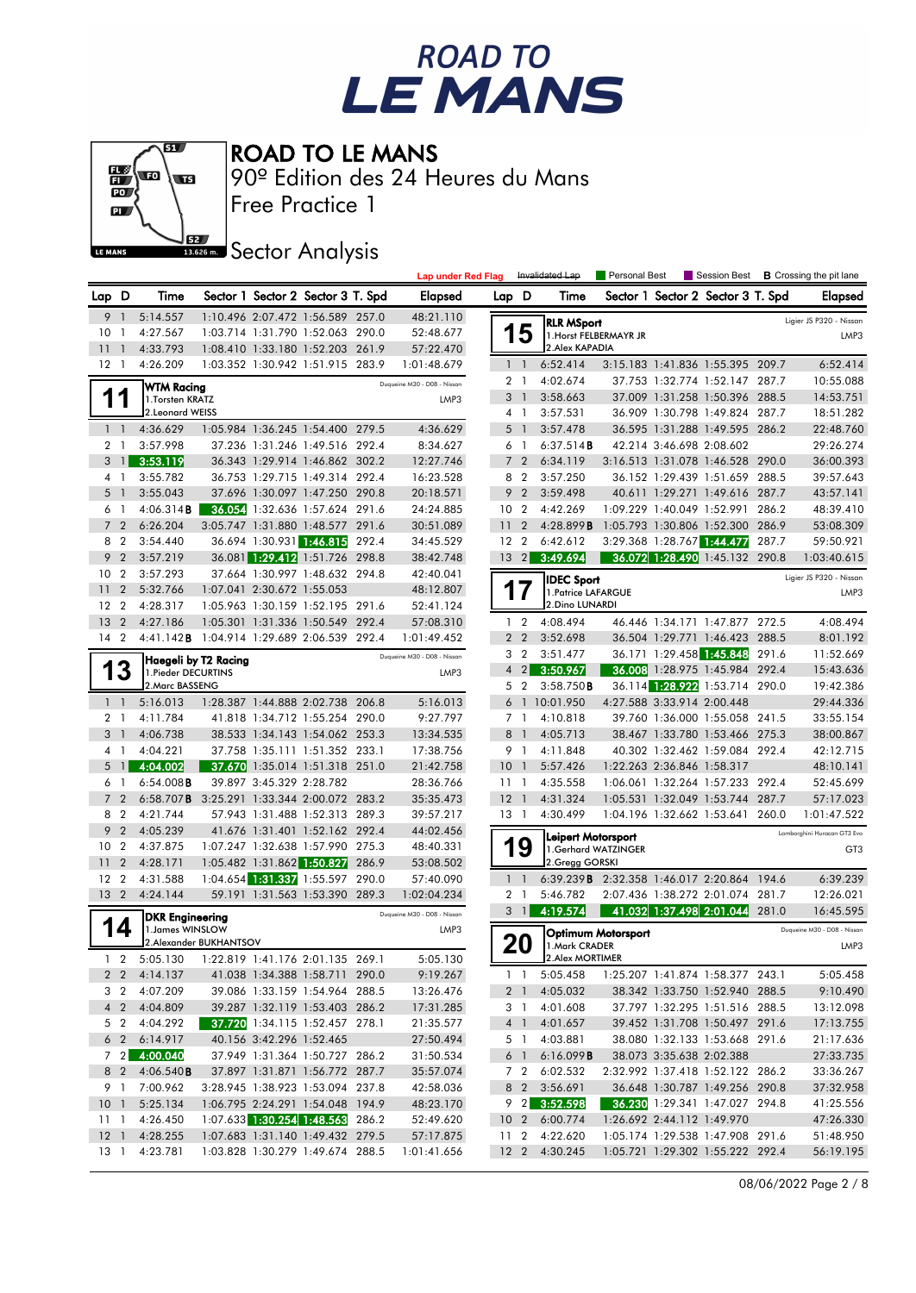



Free Practice 1 90º Edition des 24 Heures du Mans

**Sector Analysis** 

|                       |                |                                            |                        |                            |                                                                  |       | <b>Lap under Red Flag</b>   |                 |                          | Invalidated Lap                          | Personal Best                    | Session Best                                                       |       | <b>B</b> Crossing the pit lane  |
|-----------------------|----------------|--------------------------------------------|------------------------|----------------------------|------------------------------------------------------------------|-------|-----------------------------|-----------------|--------------------------|------------------------------------------|----------------------------------|--------------------------------------------------------------------|-------|---------------------------------|
| Lap D                 |                | Time                                       |                        |                            | Sector 1 Sector 2 Sector 3 T. Spd                                |       | <b>Elapsed</b>              | Lap D           |                          | Time                                     |                                  | Sector 1 Sector 2 Sector 3 T. Spd                                  |       | Elapsed                         |
| 9                     | $\mathbf{1}$   | 5:14.557                                   |                        |                            | 1:10.496 2:07.472 1:56.589 257.0                                 |       | 48:21.110                   |                 |                          | <b>RLR MSport</b>                        |                                  |                                                                    |       | Ligier JS P320 - Nissan         |
| 10                    | -1             | 4:27.567                                   |                        |                            | 1:03.714 1:31.790 1:52.063 290.0                                 |       | 52:48.677                   | 1               | 5                        | 1. Horst FELBERMAYR JR                   |                                  |                                                                    |       | LMP3                            |
| 11                    |                | 4:33.793                                   |                        |                            | 1:08.410 1:33.180 1:52.203 261.9                                 |       | 57:22.470                   |                 |                          | 2. Alex KAPADIA                          |                                  |                                                                    |       |                                 |
| $12-1$                |                | 4:26.209                                   |                        |                            | 1:03.352 1:30.942 1:51.915 283.9                                 |       | 1:01:48.679                 | $\mathbf{1}$    | $\overline{\phantom{0}}$ | 6:52.414                                 |                                  | 3:15.183 1:41.836 1:55.395 209.7                                   |       | 6:52.414                        |
|                       |                | <b>WTM Racing</b>                          |                        |                            |                                                                  |       | Duqueine M30 - D08 - Nissan | 2               | $\mathbf{1}$             | 4:02.674                                 |                                  | 37.753 1:32.774 1:52.147 287.7                                     |       | 10:55.088                       |
| ш                     | - 1            | 1. Torsten KRATZ                           |                        |                            |                                                                  |       | LMP3                        |                 | 3 <sub>1</sub>           | 3:58.663                                 |                                  | 37.009 1:31.258 1:50.396 288.5                                     |       | 14:53.751                       |
|                       |                | 2. Leonard WEISS                           |                        |                            |                                                                  |       |                             |                 | 4 1                      | 3:57.531                                 |                                  | 36.909 1:30.798 1:49.824 287.7                                     |       | 18:51.282                       |
|                       | $1\quad1$      | 4:36.629                                   |                        |                            | 1:05.984 1:36.245 1:54.400 279.5                                 |       | 4:36.629                    |                 | 5 <sub>1</sub>           | 3:57.478                                 |                                  | 36.595 1:31.288 1:49.595 286.2                                     |       | 22:48.760                       |
| 2 <sub>1</sub>        |                | 3:57.998                                   |                        |                            | 37.236 1:31.246 1:49.516 292.4                                   |       | 8:34.627                    |                 | 6 1                      | 6:37.514B                                |                                  | 42.214 3:46.698 2:08.602                                           |       | 29:26.274                       |
| 3                     | $\overline{1}$ | 3:53.119                                   |                        |                            | 36.343 1:29.914 1:46.862 302.2                                   |       | 12:27.746<br>16:23.528      | $\overline{7}$  | $\overline{2}$           | 6:34.119<br>3:57.250                     |                                  | 3:16.513 1:31.078 1:46.528 290.0<br>36.152 1:29.439 1:51.659 288.5 |       | 36:00.393                       |
| 4 1<br>5              |                | 3:55.782<br>3:55.043                       |                        |                            | 36.753 1:29.715 1:49.314 292.4<br>37.696 1:30.097 1:47.250 290.8 |       | 20:18.571                   |                 | 8 2<br>9 <sub>2</sub>    | 3:59.498                                 |                                  | 40.611 1:29.271 1:49.616 287.7                                     |       | 39:57.643<br>43:57.141          |
| 6 1                   | -1             | 4:06.314B                                  |                        |                            | 36.054 1:32.636 1:57.624 291.6                                   |       | 24:24.885                   | 10 <sub>2</sub> |                          | 4:42.269                                 |                                  | 1:09.229 1:40.049 1:52.991 286.2                                   |       | 48:39.410                       |
| 7 <sub>2</sub>        |                | 6:26.204                                   |                        |                            | 3:05.747 1:31.880 1:48.577 291.6                                 |       | 30:51.089                   | 11              | $\overline{2}$           | 4:28.899B                                |                                  | 1:05.793 1:30.806 1:52.300 286.9                                   |       | 53:08.309                       |
| 8 2                   |                | 3:54.440                                   |                        |                            | 36.694 1:30.931 1:46.815 292.4                                   |       | 34:45.529                   | 12 <sub>2</sub> |                          | 6:42.612                                 |                                  | 3:29.368 1:28.767 1:44.477                                         | 287.7 | 59:50.921                       |
|                       | 9 <sub>2</sub> | 3:57.219                                   |                        |                            | 36.081 1:29.412 1:51.726 298.8                                   |       | 38:42.748                   |                 | $13 \quad 2$             | 3:49.694                                 |                                  | 36.072 1:28.490 1:45.132 290.8                                     |       | 1:03:40.615                     |
| 10 <sub>2</sub>       |                | 3:57.293                                   |                        |                            | 37.664 1:30.997 1:48.632 294.8                                   |       | 42:40.041                   |                 |                          |                                          |                                  |                                                                    |       |                                 |
| 11                    | $\overline{2}$ | 5:32.766                                   |                        | 1:07.041 2:30.672 1:55.053 |                                                                  |       | 48:12.807                   | 1               |                          | <b>IDEC Sport</b><br>1. Patrice LAFARGUE |                                  |                                                                    |       | Ligier JS P320 - Nissan<br>LMP3 |
| 12 <sub>2</sub>       |                | 4:28.317                                   |                        |                            | 1:05.963 1:30.159 1:52.195 291.6                                 |       | 52:41.124                   |                 |                          | 2. Dino LUNARDI                          |                                  |                                                                    |       |                                 |
| 13 <sub>2</sub>       |                | 4:27.186                                   |                        |                            | 1:05.301 1:31.336 1:50.549 292.4                                 |       | 57:08.310                   | $\mathbf{1}$    | $\overline{2}$           | 4:08.494                                 |                                  | 46.446 1:34.171 1:47.877 272.5                                     |       | 4:08.494                        |
| 14 2                  |                | 4:41.142B 1:04.914 1:29.689 2:06.539 292.4 |                        |                            |                                                                  |       | 1:01:49.452                 |                 | 2 <sub>2</sub>           | 3:52.698                                 |                                  | 36.504 1:29.771 1:46.423 288.5                                     |       | 8:01.192                        |
|                       |                |                                            | Haegeli by T2 Racing   |                            |                                                                  |       | Duqueine M30 - D08 - Nissan |                 | 3 <sub>2</sub>           | 3:51.477                                 |                                  | 36.171 1:29.458 1:45.848                                           | 291.6 | 11:52.669                       |
|                       | 13             | 1. Pieder DECURTINS                        |                        |                            |                                                                  |       | LMP3                        |                 | 4 <sup>2</sup>           | 3:50.967                                 |                                  | 36.008 1:28.975 1:45.984 292.4                                     |       | 15:43.636                       |
|                       |                | 2. Marc BASSENG                            |                        |                            |                                                                  |       |                             |                 | 5 <sub>2</sub>           | 3:58.750B                                |                                  | 36.114 1:28.922 1:53.714 290.0                                     |       | 19:42.386                       |
| $1\quad$              |                | 5:16.013                                   |                        |                            | 1:28.387 1:44.888 2:02.738 206.8                                 |       | 5:16.013                    |                 | 6 <sup>1</sup>           | 10:01.950                                |                                  | 4:27.588 3:33.914 2:00.448                                         |       | 29:44.336                       |
| 2 <sub>1</sub>        |                | 4:11.784                                   |                        |                            | 41.818 1:34.712 1:55.254 290.0                                   |       | 9:27.797                    |                 | 7 <sub>1</sub>           | 4:10.818                                 |                                  | 39.760 1:36.000 1:55.058 241.5                                     |       | 33:55.154                       |
| 3                     | $\overline{1}$ | 4:06.738                                   |                        |                            | 38.533 1:34.143 1:54.062 253.3                                   |       | 13:34.535                   | 8               | $\overline{1}$           | 4:05.713                                 |                                  | 38.467 1:33.780 1:53.466 275.3                                     |       | 38:00.867                       |
| 4 1                   |                | 4:04.221                                   |                        |                            | 37.758 1:35.111 1:51.352 233.1                                   |       | 17:38.756                   | 9               | $\overline{1}$           | 4:11.848                                 |                                  | 40.302 1:32.462 1:59.084 292.4                                     |       | 42:12.715                       |
| 5                     | $\overline{1}$ | 4:04.002                                   |                        |                            | 37.670 1:35.014 1:51.318 251.0                                   |       | 21:42.758                   | 10              | $\overline{1}$           | 5:57.426                                 | 1:22.263 2:36.846 1:58.317       |                                                                    |       | 48:10.141                       |
| 6 1                   |                | $6:54.008$ <b>B</b>                        |                        | 39.897 3:45.329 2:28.782   |                                                                  |       | 28:36.766                   | $11-1$          |                          | 4:35.558                                 |                                  | 1:06.061 1:32.264 1:57.233 292.4                                   |       | 52:45.699                       |
|                       | 7 <sub>2</sub> | 6:58.707B 3:25.291 1:33.344 2:00.072 283.2 |                        |                            |                                                                  |       | 35:35.473                   | $12-1$          |                          | 4:31.324                                 |                                  | 1:05.531 1:32.049 1:53.744 287.7                                   |       | 57:17.023                       |
| 8                     | $\overline{2}$ | 4:21.744                                   |                        |                            | 57.943 1:31.488 1:52.313 289.3                                   |       | 39:57.217                   | $13-1$          |                          | 4:30.499                                 |                                  | 1:04.196 1:32.662 1:53.641 260.0                                   |       | 1:01:47.522                     |
| 9                     | $\overline{2}$ | 4:05.239                                   |                        |                            | 41.676 1:31.401 1:52.162 292.4                                   |       | 44:02.456                   |                 |                          | <b>Leipert Motorsport</b>                |                                  |                                                                    |       | Lamborghini Huracan GT3 Evo     |
| 10 <sub>2</sub>       |                | 4:37.875                                   |                        |                            | 1:07.247 1:32.638 1:57.990 275.3                                 |       | 48:40.331                   | 1               | 9                        | 1.Gerhard WATZINGER<br>2.Gregg GORSKI    |                                  |                                                                    |       | GT <sub>3</sub>                 |
| 11<br>12 <sub>2</sub> | $\overline{2}$ | 4:28.171<br>4:31.588                       |                        |                            | 1:05.482 1:31.862 1:50.827<br>1:04.654 1:31.337 1:55.597 290.0   | 286.9 | 53:08.502                   |                 | $1\quad$                 | 6:39.239B                                | 2:32.358 1:46.017 2:20.864 194.6 |                                                                    |       | 6:39.239                        |
| 13 <sup>2</sup>       |                | 4:24.144                                   |                        |                            | 59.191 1:31.563 1:53.390 289.3                                   |       | 57:40.090<br>1:02:04.234    | $\overline{2}$  | $\mathbf{1}$             | 5:46.782                                 |                                  | 2:07.436 1:38.272 2:01.074 281.7                                   |       | 12:26.021                       |
|                       |                |                                            |                        |                            |                                                                  |       |                             |                 | 3 <sup>1</sup>           | 4:19.574                                 |                                  | 41.032 1:37.498 2:01.044 281.0                                     |       | 16:45.595                       |
|                       | 14             | <b>DKR Engineering</b><br>1. James WINSLOW |                        |                            |                                                                  |       | Duqueine M30 - D08 - Nissan |                 |                          |                                          |                                  |                                                                    |       | Duqueine M30 - D08 - Nissan     |
|                       |                |                                            | 2.Alexander BUKHANTSOV |                            |                                                                  |       | LMP3                        |                 | 20                       | 1. Mark CRADER                           | Optimum Motorsport               |                                                                    |       | LMP3                            |
| $\mathbf{1}$          | $\overline{2}$ | 5:05.130 1:22.819 1:41.176 2:01.135 269.1  |                        |                            |                                                                  |       | 5:05.130                    |                 |                          | 2. Alex MORTIMER                         |                                  |                                                                    |       |                                 |
|                       |                | 2 2 4:14.137                               |                        |                            | 41.038 1:34.388 1:58.711 290.0                                   |       | 9:19.267                    |                 |                          | 1 1 5:05.458                             |                                  | 1:25.207 1:41.874 1:58.377 243.1                                   |       | 5:05.458                        |
|                       |                | 3 2 4:07.209                               |                        |                            | 39.086 1:33.159 1:54.964 288.5                                   |       | 13:26.476                   |                 |                          | 2 1 4:05.032                             |                                  | 38.342 1:33.750 1:52.940 288.5                                     |       | 9:10.490                        |
|                       |                | 4 2 4:04.809                               |                        |                            | 39.287 1:32.119 1:53.403 286.2                                   |       | 17:31.285                   |                 | 3 1                      | 4:01.608                                 |                                  | 37.797 1:32.295 1:51.516 288.5                                     |       | 13:12.098                       |
|                       | 5 2            | 4:04.292                                   |                        |                            | 37.720 1:34.115 1:52.457 278.1                                   |       | 21:35.577                   |                 | 4 1                      | 4:01.657                                 |                                  | 39.452 1:31.708 1:50.497 291.6                                     |       | 17:13.755                       |
|                       | 6 2            | 6:14.917                                   |                        | 40.156 3:42.296 1:52.465   |                                                                  |       | 27:50.494                   |                 | 5 1                      | 4:03.881                                 |                                  | 38.080 1:32.133 1:53.668 291.6                                     |       | 21:17.636                       |
|                       | 72             | 4:00.040                                   |                        |                            | 37.949 1:31.364 1:50.727 286.2                                   |       | 31:50.534                   |                 | 6 1                      | 6:16.099B                                |                                  | 38.073 3:35.638 2:02.388                                           |       | 27:33.735                       |
|                       | 8 2            | 4:06.540B                                  |                        |                            | 37.897 1:31.871 1:56.772 287.7                                   |       | 35:57.074                   |                 | 7 2                      | 6:02.532                                 |                                  | 2:32.992 1:37.418 1:52.122 286.2                                   |       | 33:36.267                       |
|                       | 9 1            | 7:00.962                                   |                        |                            | 3:28.945 1:38.923 1:53.094 237.8                                 |       | 42:58.036                   |                 | 8 2                      | 3:56.691                                 |                                  | 36.648 1:30.787 1:49.256 290.8                                     |       | 37:32.958                       |
| 101                   |                | 5:25.134                                   |                        |                            | 1:06.795 2:24.291 1:54.048 194.9                                 |       | 48:23.170                   |                 |                          | 9 2 3:52.598                             |                                  | 36.230 1:29.341 1:47.027 294.8                                     |       | 41:25.556                       |
| $11 \quad 1$          |                | 4:26.450                                   |                        |                            | 1:07.633 1:30.254 1:48.563 286.2                                 |       | 52:49.620                   |                 |                          | 10 2 6:00.774                            |                                  | 1:26.692 2:44.112 1:49.970                                         |       | 47:26.330                       |
| $12 \quad 1$          |                | 4:28.255                                   |                        |                            | 1:07.683 1:31.140 1:49.432 279.5                                 |       | 57:17.875                   |                 | 11 <sub>2</sub>          | 4:22.620                                 |                                  | 1:05.174 1:29.538 1:47.908 291.6                                   |       | 51:48.950                       |
| 13 1                  |                | 4:23.781                                   |                        |                            | 1:03.828 1:30.279 1:49.674 288.5                                 |       | 1:01:41.656                 |                 |                          | 12 2 4:30.245                            |                                  | 1:05.721 1:29.302 1:55.222 292.4                                   |       | 56:19.195                       |
|                       |                |                                            |                        |                            |                                                                  |       |                             |                 |                          |                                          |                                  |                                                                    |       |                                 |

08/06/2022 Page 2 / 8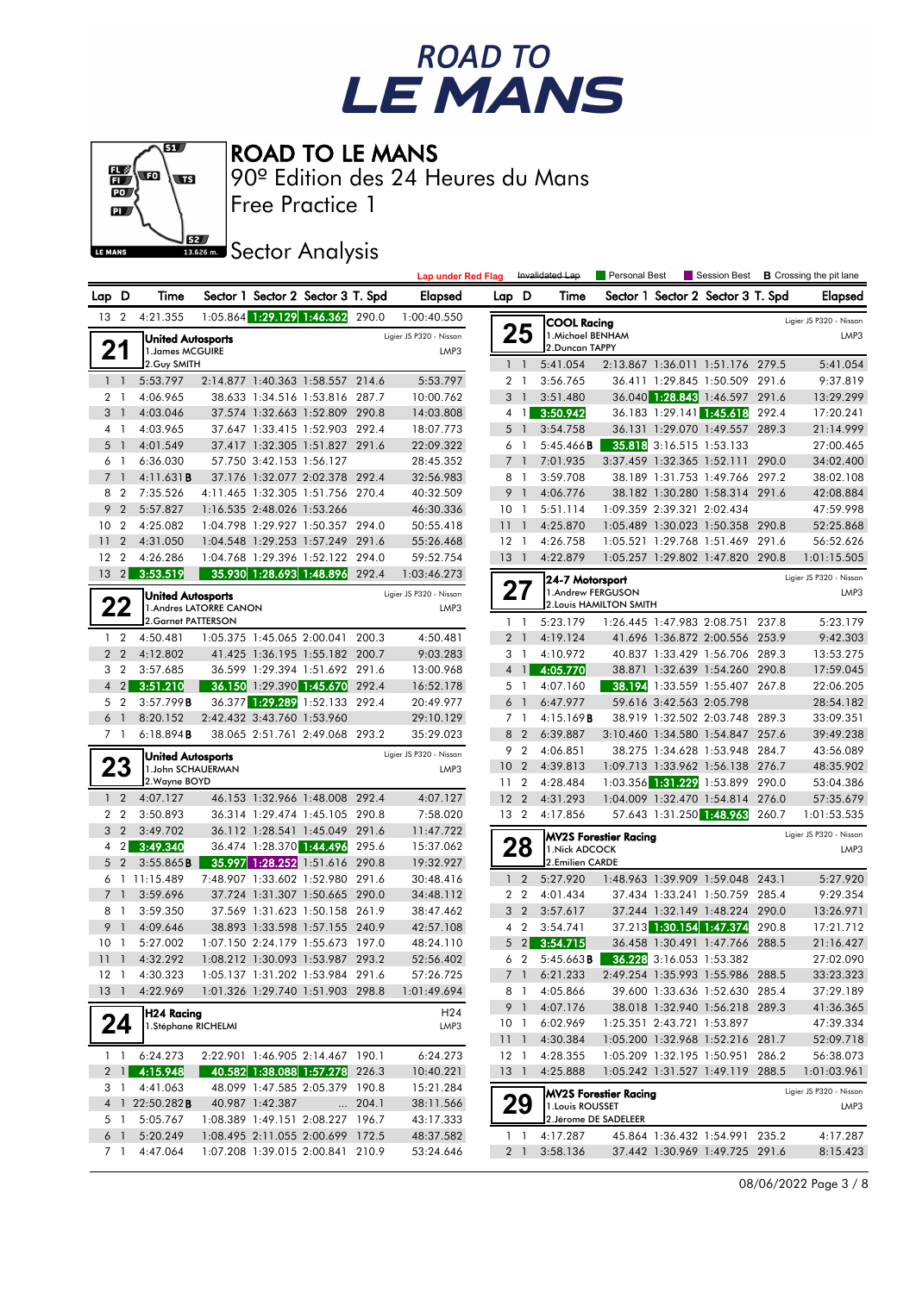



Free Practice 1 90º Edition des 24 Heures du Mans

**J**BEZ Sector Analysis

| Lap D<br>Sector 1 Sector 2 Sector 3 T. Spd<br>Lap D<br>Sector 1 Sector 2 Sector 3 T. Spd<br>Time<br><b>Elapsed</b><br>Time<br>1:05.864 1:29.129 1:46.362 290.0<br>4:21.355<br>13 2<br>1:00:40.550<br><b>COOL Racing</b><br>25<br>1. Michael BENHAM<br>Ligier JS P320 - Nissan<br>United Autosports<br>21<br>2.Duncan TAPPY<br>1. James MCGUIRE<br>LMP3 | <b>Elapsed</b>          |
|--------------------------------------------------------------------------------------------------------------------------------------------------------------------------------------------------------------------------------------------------------------------------------------------------------------------------------------------------------|-------------------------|
|                                                                                                                                                                                                                                                                                                                                                        |                         |
|                                                                                                                                                                                                                                                                                                                                                        | Ligier JS P320 - Nissan |
|                                                                                                                                                                                                                                                                                                                                                        | LMP3                    |
|                                                                                                                                                                                                                                                                                                                                                        |                         |
| 2.Guy SMITH<br>5:41.054<br>2:13.867 1:36.011 1:51.176 279.5<br>$1\quad$                                                                                                                                                                                                                                                                                | 5:41.054                |
| 5:53.797<br>5:53.797<br>36.411 1:29.845 1:50.509 291.6<br>$1\quad$<br>2:14.877 1:40.363 1:58.557 214.6<br>2 <sub>1</sub><br>3:56.765                                                                                                                                                                                                                   | 9:37.819                |
| 36.040 1:28.843 1:46.597 291.6<br>3:51.480<br>2 <sub>1</sub><br>4:06.965<br>38.633 1:34.516 1:53.816 287.7<br>10:00.762<br>3<br>$\overline{1}$                                                                                                                                                                                                         | 13:29.299               |
| 36.183 1:29.141 1:45.618 292.4<br>3<br>4:03.046<br>37.574 1:32.663 1:52.809 290.8<br>14:03.808<br>3:50.942<br>$\overline{1}$<br>4 1<br>4:03.965                                                                                                                                                                                                        | 17:20.241               |
| 37.647 1:33.415 1:52.903 292.4<br>36.131 1:29.070 1:49.557 289.3<br>18:07.773<br>5 <sub>1</sub><br>3:54.758<br>4 1<br>5<br>37.417 1:32.305 1:51.827 291.6<br>5:45.466B                                                                                                                                                                                 | 21:14.999<br>27:00.465  |
| 35.818 3:16.515 1:53.133<br>4:01.549<br>22:09.322<br>$\overline{1}$<br>6<br>$\overline{1}$<br>6:36.030<br>57.750 3:42.153 1:56.127<br>28:45.352<br>7:01.935<br>3:37.459 1:32.365 1:52.111 290.0<br>6 1<br>7 <sup>1</sup>                                                                                                                               | 34:02.400               |
| 4:11.631B<br>37.176 1:32.077 2:02.378 292.4<br>3:59.708<br>38.189 1:31.753 1:49.766 297.2<br>$\overline{7}$<br>$\overline{1}$<br>32:56.983<br>8 1                                                                                                                                                                                                      | 38:02.108               |
| 8 2<br>7:35.526<br>4:11.465 1:32.305 1:51.756 270.4<br>40:32.509<br>9 <sub>1</sub><br>4:06.776<br>38.182 1:30.280 1:58.314 291.6                                                                                                                                                                                                                       | 42:08.884               |
| 9<br>$\overline{2}$<br>5:57.827<br>1:09.359 2:39.321 2:02.434<br>1:16.535 2:48.026 1:53.266<br>46:30.336<br>10 <sub>1</sub><br>5:51.114                                                                                                                                                                                                                | 47:59.998               |
| 10 <sub>2</sub><br>4:25.082<br>1:04.798 1:29.927 1:50.357 294.0<br>50:55.418<br>11<br>4:25.870<br>1:05.489 1:30.023 1:50.358 290.8<br>$\overline{1}$                                                                                                                                                                                                   | 52:25.868               |
| 1:04.548 1:29.253 1:57.249 291.6<br>11<br>$\overline{2}$<br>4:31.050<br>55:26.468<br>$12-1$<br>4:26.758<br>1:05.521 1:29.768 1:51.469 291.6                                                                                                                                                                                                            | 56:52.626               |
| 12 <sub>2</sub><br>4:26.286<br>1:04.768 1:29.396 1:52.122 294.0<br>4:22.879<br>1:05.257 1:29.802 1:47.820 290.8<br>59:52.754<br>$13-1$                                                                                                                                                                                                                 | 1:01:15.505             |
| 13 2 3:53.519<br>35.930 1:28.693 1:48.896 292.4<br>1:03:46.273                                                                                                                                                                                                                                                                                         | Ligier JS P320 - Nissan |
| 24-7 Motorsport<br>27<br>1.Andrew FERGUSON<br>Ligier JS P320 - Nissan                                                                                                                                                                                                                                                                                  | LMP3                    |
| United Autosports<br>22<br>2. Louis HAMILTON SMITH<br>1. Andres LATORRE CANON<br>LMP3                                                                                                                                                                                                                                                                  |                         |
| 2. Garnet PATTERSON<br>5:23.179<br>1:26.445 1:47.983 2:08.751 237.8<br>$1\quad$                                                                                                                                                                                                                                                                        | 5:23.179                |
| $1\quad 2$<br>4:50.481<br>1:05.375 1:45.065 2:00.041 200.3<br>4:50.481<br>2 <sub>1</sub><br>4:19.124<br>41.696 1:36.872 2:00.556 253.9                                                                                                                                                                                                                 | 9:42.303                |
| 4:10.972<br>2 <sub>2</sub><br>4:12.802<br>41.425 1:36.195 1:55.182 200.7<br>9:03.283<br>3 1<br>40.837 1:33.429 1:56.706 289.3                                                                                                                                                                                                                          | 13:53.275               |
| 36.599 1:29.394 1:51.692 291.6<br>38.871 1:32.639 1:54.260 290.8<br>3 <sub>2</sub><br>3:57.685<br>13:00.968<br>4 1<br>4:05.770                                                                                                                                                                                                                         | 17:59.045               |
| $4\quad2$<br>3:51.210<br>36.150 1:29.390 1:45.670 292.4<br>16:52.178<br>5 1<br>4:07.160<br>38.194 1:33.559 1:55.407 267.8                                                                                                                                                                                                                              | 22:06.205               |
| 36.377 1:29.289 1:52.133 292.4<br>6:47.977<br>59.616 3:42.563 2:05.798<br>5 <sub>2</sub><br>3:57.799B<br>20:49.977<br>6 <sup>1</sup>                                                                                                                                                                                                                   | 28:54.182               |
| 6<br>$\overline{1}$<br>8:20.152<br>2:42.432 3:43.760 1:53.960<br>29:10.129<br>4:15.169B<br>38.919 1:32.502 2:03.748 289.3<br>7 1                                                                                                                                                                                                                       | 33:09.351               |
| 6:18.894B<br>7 1<br>38.065 2:51.761 2:49.068 293.2<br>35:29.023<br>8<br>$\overline{2}$<br>6:39.887<br>3:10.460 1:34.580 1:54.847 257.6                                                                                                                                                                                                                 | 39:49.238               |
| 9<br>$\overline{2}$<br>4:06.851<br>38.275 1:34.628 1:53.948 284.7<br>Ligier JS P320 - Nissan<br>United Autosports                                                                                                                                                                                                                                      | 43:56.089               |
| 23<br>1:09.713 1:33.962 1:56.138 276.7<br>10<br>$\overline{2}$<br>4:39.813<br>1.John SCHAUERMAN<br>LMP3                                                                                                                                                                                                                                                | 48:35.902               |
| 2. Wayne BOYD<br>4:28.484<br>1:03.356 1:31.229 1:53.899 290.0<br>11 <sub>2</sub>                                                                                                                                                                                                                                                                       | 53:04.386               |
| 4:31.293<br>1:04.009 1:32.470 1:54.814 276.0<br>$1\quad 2$<br>4:07.127<br>46.153 1:32.966 1:48.008 292.4<br>4:07.127<br>12 <sub>2</sub>                                                                                                                                                                                                                | 57:35.679               |
| 2 <sub>2</sub><br>3:50.893<br>57.643 1:31.250 1:48.963<br>36.314 1:29.474 1:45.105 290.8<br>7:58.020<br>13 2<br>4:17.856<br>260.7                                                                                                                                                                                                                      | 1:01:53.535             |
| $\overline{2}$<br>3:49.702<br>36.112 1:28.541 1:45.049 291.6<br>3<br>11:47.722<br>MV2S Forestier Racing                                                                                                                                                                                                                                                | Ligier JS P320 - Nissan |
| 28<br>36.474 1:28.370 1:44.496 295.6<br>$4 \quad 2$<br>3:49.340<br>15:37.062<br>1. Nick ADCOCK<br>2.Emilien CARDE<br>$\overline{2}$<br>3:55.865B<br>19:32.927<br>5                                                                                                                                                                                     | LMP3                    |
| 35.997 1:28.252 1:51.616 290.8<br>7:48.907 1:33.602 1:52.980 291.6<br>1 <sub>2</sub><br>5:27.920<br>6 1 11:15.489<br>30:48.416<br>1:48.963 1:39.909 1:59.048 243.1                                                                                                                                                                                     | 5:27.920                |
| 2 <sub>2</sub><br>$\overline{7}$<br>$\overline{1}$<br>3:59.696<br>37.724 1:31.307 1:50.665 290.0<br>34:48.112<br>4:01.434<br>37.434 1:33.241 1:50.759 285.4                                                                                                                                                                                            | 9:29.354                |
| 3:59.350<br>37.569 1:31.623 1:50.158 261.9<br>8 1<br>38:47.462<br>3 <sub>2</sub><br>3:57.617<br>37.244 1:32.149 1:48.224 290.0                                                                                                                                                                                                                         | 13:26.971               |
| 9 1<br>4:09.646<br>38.893 1:33.598 1:57.155 240.9<br>4 <sup>2</sup><br>37.213 1:30.154 1:47.374<br>42:57.108<br>3:54.741<br>290.8                                                                                                                                                                                                                      | 17:21.712               |
| 5:27.002<br>1:07.150 2:24.179 1:55.673 197.0<br>$5 \quad 2$<br>3:54.715<br>36.458 1:30.491 1:47.766 288.5<br>10 <sub>1</sub><br>48:24.110                                                                                                                                                                                                              | 21:16.427               |
| 11 1 4:32.292<br>1:08.212 1:30.093 1:53.987 293.2<br>52:56.402<br>36.228 3:16.053 1:53.382<br>6 2 5:45.663 <b>B</b>                                                                                                                                                                                                                                    | 27:02.090               |
| 1:05.137 1:31.202 1:53.984 291.6<br>7 1 6:21.233<br>12 1 4:30.323<br>57:26.725<br>2:49.254 1:35.993 1:55.986 288.5                                                                                                                                                                                                                                     | 33:23.323               |
| 4:22.969<br>13 1<br>1:01.326 1:29.740 1:51.903 298.8<br>1:01:49.694<br>4:05.866<br>39.600 1:33.636 1:52.630 285.4<br>81                                                                                                                                                                                                                                | 37:29.189               |
| 9 1 4:07.176<br>38.018 1:32.940 1:56.218 289.3                                                                                                                                                                                                                                                                                                         | 41:36.365               |
| H24 Racing<br>H <sub>24</sub><br>24<br>6:02.969<br>1:25.351 2:43.721 1:53.897<br>10 1<br>1.Stéphane RICHELMI<br>LMP3                                                                                                                                                                                                                                   | 47:39.334               |
| 4:30.384<br>1:05.200 1:32.968 1:52.216 281.7<br>111                                                                                                                                                                                                                                                                                                    | 52:09.718               |
| 6:24.273<br>2:22.901 1:46.905 2:14.467 190.1<br>6:24.273<br>4:28.355<br>1:05.209 1:32.195 1:50.951 286.2<br>$1 \quad 1$<br>12 1                                                                                                                                                                                                                        | 56:38.073               |
| 2 1 4:15.948<br>40.582 1:38.088 1:57.278 226.3<br>10:40.221<br>4:25.888<br>13 1<br>1:05.242 1:31.527 1:49.119 288.5                                                                                                                                                                                                                                    | 1:01:03.961             |
| 4:41.063<br>48.099 1:47.585 2:05.379 190.8<br>15:21.284<br>3 1<br><b>MV2S Forestier Racing</b>                                                                                                                                                                                                                                                         | Ligier JS P320 - Nissan |
| 29<br>4 1 22:50.282 <b>B</b><br>40.987 1:42.387<br>$\dots$ 204.1<br>38:11.566<br>1. Louis ROUSSET                                                                                                                                                                                                                                                      | LMP3                    |
| 2. Jérome DE SADELEER<br>5:05.767<br>1:08.389 1:49.151 2:08.227 196.7<br>5 1<br>43:17.333                                                                                                                                                                                                                                                              |                         |
| 6 1<br>5:20.249<br>1:08.495 2:11.055 2:00.699 172.5<br>48:37.582<br>$1\quad1$<br>4:17.287<br>45.864 1:36.432 1:54.991 235.2                                                                                                                                                                                                                            | 4:17.287                |
| 7 1<br>4:47.064<br>1:07.208 1:39.015 2:00.841 210.9<br>53:24.646<br>3:58.136<br>2 1<br>37.442 1:30.969 1:49.725 291.6                                                                                                                                                                                                                                  | 8:15.423                |

08/06/2022 Page 3 / 8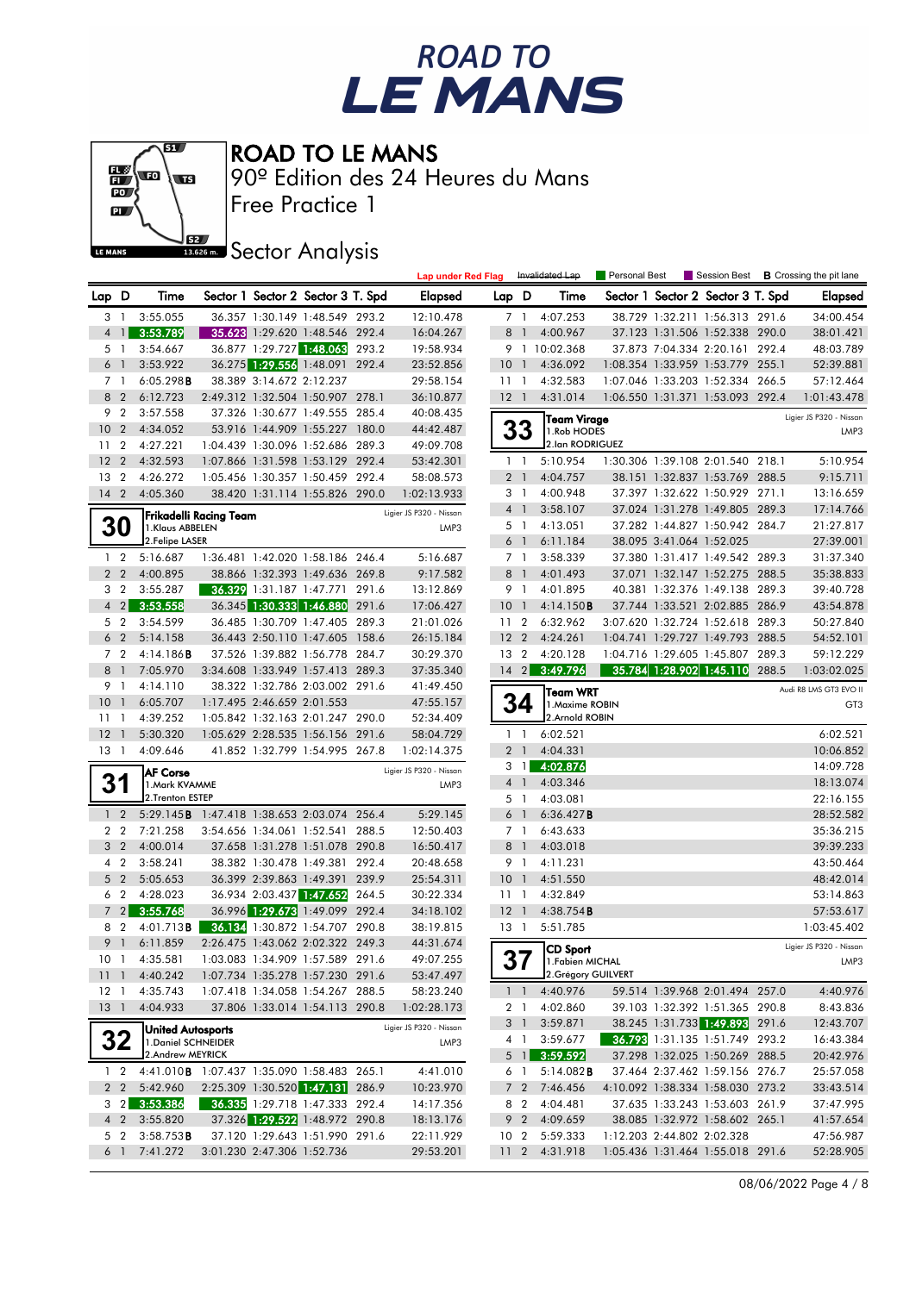



Free Practice 1 90º Edition des 24 Heures du Mans

**J**BEZ Sector Analysis

| Lap D<br>Sector 1 Sector 2 Sector 3 T. Spd<br>Lap D<br>Sector 1 Sector 2 Sector 3 T. Spd<br>Time<br>Elapsed<br>Time<br>Elapsed<br>3:55.055<br>36.357 1:30.149 1:48.549 293.2<br>4:07.253<br>38.729 1:32.211 1:56.313 291.6<br>12:10.478<br>34:00.454<br>3<br>$\overline{1}$<br>7 1<br>35.628 1:29.620 1:48.546 292.4<br>4:00.967<br>37.123 1:31.506 1:52.338 290.0<br>38:01.421<br>$\mathbf{1}$<br>3:53.789<br>16:04.267<br>8<br>$\overline{1}$<br>4<br>36.877 1:29.727 1:48.063 293.2<br>9 1 10:02.368<br>37.873 7:04.334 2:20.161 292.4<br>3:54.667<br>19:58.934<br>48:03.789<br>5 1<br>3:53.922<br>36.275 1:29.556 1:48.091 292.4<br>1:08.354 1:33.959 1:53.779 255.1<br>6<br>23:52.856<br>$10-1$<br>4:36.092<br>52:39.881<br>$\overline{1}$<br>6:05.298B<br>38.389 3:14.672 2:12.237<br>7 1<br>29:58.154<br>4:32.583<br>1:07.046 1:33.203 1:52.334 266.5<br>57:12.464<br>11 <sub>1</sub><br>1:06.550 1:31.371 1:53.093 292.4<br>8 2<br>6:12.723<br>2:49.312 1:32.504 1:50.907 278.1<br>36:10.877<br>$12-1$<br>4:31.014<br>1:01:43.478<br>3:57.558<br>9 2<br>37.326 1:30.677 1:49.555 285.4<br>40:08.435<br>Ligier JS P320 - Nissan<br><b>Team Virage</b><br>33<br>10 <sub>2</sub><br>4:34.052<br>53.916 1:44.909 1:55.227 180.0<br>44:42.487<br>1.Rob HODES<br>2.lan RODRIGUEZ<br>11 <sub>2</sub><br>4:27.221<br>1:04.439 1:30.096 1:52.686 289.3<br>49:09.708<br>12 <sub>2</sub><br>4:32.593<br>1:07.866 1:31.598 1:53.129 292.4<br>5:10.954<br>1:30.306 1:39.108 2:01.540 218.1<br>5:10.954<br>53:42.301<br>$1\quad$<br>4:26.272<br>1:05.456 1:30.357 1:50.459 292.4<br>$13 \quad 2$<br>58:08.573<br>2 <sub>1</sub><br>4:04.757<br>38.151 1:32.837 1:53.769 288.5<br>9:15.711<br>$14 \quad 2$<br>4:05.360<br>38.420 1:31.114 1:55.826 290.0<br>4:00.948<br>1:02:13.933<br>3 1<br>37.397 1:32.622 1:50.929 271.1<br>13:16.659<br>4 <sup>1</sup><br>3:58.107<br>37.024 1:31.278 1:49.805 289.3<br>17:14.766<br>Ligier JS P320 - Nissan<br> Frikadelli Racing Team<br><b>30</b><br>37.282 1:44.827 1:50.942 284.7<br>21:27.817<br>5 1<br>4:13.051<br>1.Klaus ABBELEN<br>LMP3<br>2.Felipe LASER<br>27:39.001<br>6:11.184<br>38.095 3:41.064 1:52.025<br>6 1<br>1:36.481 1:42.020 1:58.186 246.4<br>5:16.687<br>$1\quad2$<br>5:16.687<br>3:58.339<br>37.380 1:31.417 1:49.542 289.3<br>31:37.340<br>7 1<br>2 <sub>2</sub><br>4:00.895<br>38.866 1:32.393 1:49.636 269.8<br>9:17.582<br>8 1<br>4:01.493<br>37.071 1:32.147 1:52.275 288.5<br>35:38.833<br>3:55.287<br>36.329 1:31.187 1:47.771 291.6<br>13:12.869<br>3 <sub>2</sub><br>9 1<br>4:01.895<br>40.381 1:32.376 1:49.138 289.3<br>39:40.728<br>$4 \quad 2$<br>3:53.558<br>36.345 1:30.333 1:46.880<br>291.6<br>37.744 1:33.521 2:02.885 286.9<br>17:06.427<br>$10-1$<br>4:14.150B<br>43:54.878<br>5 <sub>2</sub><br>3:54.599<br>6:32.962<br>3:07.620 1:32.724 1:52.618 289.3<br>36.485 1:30.709 1:47.405 289.3<br>21:01.026<br>11 <sub>2</sub><br>50:27.840<br>36.443 2:50.110 1:47.605 158.6<br>1:04.741 1:29.727 1:49.793 288.5<br>6<br>$\overline{2}$<br>5:14.158<br>26:15.184<br>12 <sub>2</sub><br>4:24.261<br>54:52.101<br>37.526 1:39.882 1:56.778 284.7<br>30:29.370<br>13 2<br>4:20.128<br>1:04.716 1:29.605 1:45.807 289.3<br>7 <sub>2</sub><br>4:14.186B<br>59:12.229<br>8<br>$\overline{1}$<br>7:05.970<br>3:34.608 1:33.949 1:57.413 289.3<br>37:35.340<br>$14 \quad 2$<br>3:49.796<br>35.784 1:28.902 1:45.110 288.5<br>1:03:02.025<br>9 1<br>4:14.110<br>38.322 1:32.786 2:03.002 291.6<br>41:49.450<br>Audi R8 LMS GT3 EVO II<br>Team WRT<br>1:17.495 2:46.659 2:01.553<br>34<br>10<br>$\overline{1}$<br>6:05.707<br>47:55.157<br>1. Maxime ROBIN<br>2.Arnold ROBIN<br>4:39.252<br>1:05.842 1:32.163 2:01.247 290.0<br>52:34.409<br>$11-1$<br>$12-1$<br>5:30.320<br>1:05.629 2:28.535 1:56.156 291.6<br>58:04.729<br>6:02.521<br>6:02.521<br>$1\quad$<br>4:04.331<br>13 1<br>4:09.646<br>41.852 1:32.799 1:54.995 267.8<br>1:02:14.375<br>2 <sub>1</sub><br>10:06.852<br>3 1<br>4:02.876<br>14:09.728<br>Ligier JS P320 - Nissan<br><b>AF Corse</b><br>31<br>4:03.346<br>18:13.074<br>4 1<br>1.Mark KVAMME<br>LMP3<br>2.Trenton ESTEP<br>5 <sub>1</sub><br>4:03.081<br>22:16.155<br>$\overline{2}$<br>5:29.145B 1:47.418 1:38.653 2:03.074 256.4<br>5:29.145<br>6:36.427B<br>28:52.582<br>$\mathbf{1}$<br>6 1<br>2 <sub>2</sub><br>7:21.258<br>3:54.656 1:34.061 1:52.541<br>288.5<br>12:50.403<br>6:43.633<br>35:36.215<br>7 1<br>3 <sub>2</sub><br>4:00.014<br>37.658 1:31.278 1:51.078 290.8<br>16:50.417<br>8 1<br>4:03.018<br>39:39.233<br>4 <sup>2</sup><br>3:58.241<br>38.382 1:30.478 1:49.381 292.4<br>20:48.658<br>9 1<br>4:11.231<br>43:50.464<br>$\overline{2}$<br>36.399 2:39.863 1:49.391 239.9<br>5<br>5:05.653<br>25:54.311<br>10 <sup>°</sup><br>4:51.550<br>48:42.014<br>$\overline{1}$<br>6 <sub>2</sub><br>36.934 2:03.437 1:47.652<br>4:28.023<br>264.5<br>30:22.334<br>$11-1$<br>4:32.849<br>53:14.863 |
|--------------------------------------------------------------------------------------------------------------------------------------------------------------------------------------------------------------------------------------------------------------------------------------------------------------------------------------------------------------------------------------------------------------------------------------------------------------------------------------------------------------------------------------------------------------------------------------------------------------------------------------------------------------------------------------------------------------------------------------------------------------------------------------------------------------------------------------------------------------------------------------------------------------------------------------------------------------------------------------------------------------------------------------------------------------------------------------------------------------------------------------------------------------------------------------------------------------------------------------------------------------------------------------------------------------------------------------------------------------------------------------------------------------------------------------------------------------------------------------------------------------------------------------------------------------------------------------------------------------------------------------------------------------------------------------------------------------------------------------------------------------------------------------------------------------------------------------------------------------------------------------------------------------------------------------------------------------------------------------------------------------------------------------------------------------------------------------------------------------------------------------------------------------------------------------------------------------------------------------------------------------------------------------------------------------------------------------------------------------------------------------------------------------------------------------------------------------------------------------------------------------------------------------------------------------------------------------------------------------------------------------------------------------------------------------------------------------------------------------------------------------------------------------------------------------------------------------------------------------------------------------------------------------------------------------------------------------------------------------------------------------------------------------------------------------------------------------------------------------------------------------------------------------------------------------------------------------------------------------------------------------------------------------------------------------------------------------------------------------------------------------------------------------------------------------------------------------------------------------------------------------------------------------------------------------------------------------------------------------------------------------------------------------------------------------------------------------------------------------------------------------------------------------------------------------------------------------------------------------------------------------------------------------------------------------------------------------------------------------------------------------------------------------------------------------------------------------------------------------------------------------------------------------------------------------------------------------------------------------------------------------------------------------------------------------------------------------------------------------------------------------------------------------------------------------------------------------------------------------------------------------------------------------------------------------------------------------------------------------------------------------------------------------------------------------------------------------------------------------------------------------------------------------------------------------------------------------------------------------------------------------------------------|
|                                                                                                                                                                                                                                                                                                                                                                                                                                                                                                                                                                                                                                                                                                                                                                                                                                                                                                                                                                                                                                                                                                                                                                                                                                                                                                                                                                                                                                                                                                                                                                                                                                                                                                                                                                                                                                                                                                                                                                                                                                                                                                                                                                                                                                                                                                                                                                                                                                                                                                                                                                                                                                                                                                                                                                                                                                                                                                                                                                                                                                                                                                                                                                                                                                                                                                                                                                                                                                                                                                                                                                                                                                                                                                                                                                                                                                                                                                                                                                                                                                                                                                                                                                                                                                                                                                                                                                                                                                                                                                                                                                                                                                                                                                                                                                                                                                                                                                        |
|                                                                                                                                                                                                                                                                                                                                                                                                                                                                                                                                                                                                                                                                                                                                                                                                                                                                                                                                                                                                                                                                                                                                                                                                                                                                                                                                                                                                                                                                                                                                                                                                                                                                                                                                                                                                                                                                                                                                                                                                                                                                                                                                                                                                                                                                                                                                                                                                                                                                                                                                                                                                                                                                                                                                                                                                                                                                                                                                                                                                                                                                                                                                                                                                                                                                                                                                                                                                                                                                                                                                                                                                                                                                                                                                                                                                                                                                                                                                                                                                                                                                                                                                                                                                                                                                                                                                                                                                                                                                                                                                                                                                                                                                                                                                                                                                                                                                                                        |
|                                                                                                                                                                                                                                                                                                                                                                                                                                                                                                                                                                                                                                                                                                                                                                                                                                                                                                                                                                                                                                                                                                                                                                                                                                                                                                                                                                                                                                                                                                                                                                                                                                                                                                                                                                                                                                                                                                                                                                                                                                                                                                                                                                                                                                                                                                                                                                                                                                                                                                                                                                                                                                                                                                                                                                                                                                                                                                                                                                                                                                                                                                                                                                                                                                                                                                                                                                                                                                                                                                                                                                                                                                                                                                                                                                                                                                                                                                                                                                                                                                                                                                                                                                                                                                                                                                                                                                                                                                                                                                                                                                                                                                                                                                                                                                                                                                                                                                        |
|                                                                                                                                                                                                                                                                                                                                                                                                                                                                                                                                                                                                                                                                                                                                                                                                                                                                                                                                                                                                                                                                                                                                                                                                                                                                                                                                                                                                                                                                                                                                                                                                                                                                                                                                                                                                                                                                                                                                                                                                                                                                                                                                                                                                                                                                                                                                                                                                                                                                                                                                                                                                                                                                                                                                                                                                                                                                                                                                                                                                                                                                                                                                                                                                                                                                                                                                                                                                                                                                                                                                                                                                                                                                                                                                                                                                                                                                                                                                                                                                                                                                                                                                                                                                                                                                                                                                                                                                                                                                                                                                                                                                                                                                                                                                                                                                                                                                                                        |
|                                                                                                                                                                                                                                                                                                                                                                                                                                                                                                                                                                                                                                                                                                                                                                                                                                                                                                                                                                                                                                                                                                                                                                                                                                                                                                                                                                                                                                                                                                                                                                                                                                                                                                                                                                                                                                                                                                                                                                                                                                                                                                                                                                                                                                                                                                                                                                                                                                                                                                                                                                                                                                                                                                                                                                                                                                                                                                                                                                                                                                                                                                                                                                                                                                                                                                                                                                                                                                                                                                                                                                                                                                                                                                                                                                                                                                                                                                                                                                                                                                                                                                                                                                                                                                                                                                                                                                                                                                                                                                                                                                                                                                                                                                                                                                                                                                                                                                        |
|                                                                                                                                                                                                                                                                                                                                                                                                                                                                                                                                                                                                                                                                                                                                                                                                                                                                                                                                                                                                                                                                                                                                                                                                                                                                                                                                                                                                                                                                                                                                                                                                                                                                                                                                                                                                                                                                                                                                                                                                                                                                                                                                                                                                                                                                                                                                                                                                                                                                                                                                                                                                                                                                                                                                                                                                                                                                                                                                                                                                                                                                                                                                                                                                                                                                                                                                                                                                                                                                                                                                                                                                                                                                                                                                                                                                                                                                                                                                                                                                                                                                                                                                                                                                                                                                                                                                                                                                                                                                                                                                                                                                                                                                                                                                                                                                                                                                                                        |
|                                                                                                                                                                                                                                                                                                                                                                                                                                                                                                                                                                                                                                                                                                                                                                                                                                                                                                                                                                                                                                                                                                                                                                                                                                                                                                                                                                                                                                                                                                                                                                                                                                                                                                                                                                                                                                                                                                                                                                                                                                                                                                                                                                                                                                                                                                                                                                                                                                                                                                                                                                                                                                                                                                                                                                                                                                                                                                                                                                                                                                                                                                                                                                                                                                                                                                                                                                                                                                                                                                                                                                                                                                                                                                                                                                                                                                                                                                                                                                                                                                                                                                                                                                                                                                                                                                                                                                                                                                                                                                                                                                                                                                                                                                                                                                                                                                                                                                        |
|                                                                                                                                                                                                                                                                                                                                                                                                                                                                                                                                                                                                                                                                                                                                                                                                                                                                                                                                                                                                                                                                                                                                                                                                                                                                                                                                                                                                                                                                                                                                                                                                                                                                                                                                                                                                                                                                                                                                                                                                                                                                                                                                                                                                                                                                                                                                                                                                                                                                                                                                                                                                                                                                                                                                                                                                                                                                                                                                                                                                                                                                                                                                                                                                                                                                                                                                                                                                                                                                                                                                                                                                                                                                                                                                                                                                                                                                                                                                                                                                                                                                                                                                                                                                                                                                                                                                                                                                                                                                                                                                                                                                                                                                                                                                                                                                                                                                                                        |
|                                                                                                                                                                                                                                                                                                                                                                                                                                                                                                                                                                                                                                                                                                                                                                                                                                                                                                                                                                                                                                                                                                                                                                                                                                                                                                                                                                                                                                                                                                                                                                                                                                                                                                                                                                                                                                                                                                                                                                                                                                                                                                                                                                                                                                                                                                                                                                                                                                                                                                                                                                                                                                                                                                                                                                                                                                                                                                                                                                                                                                                                                                                                                                                                                                                                                                                                                                                                                                                                                                                                                                                                                                                                                                                                                                                                                                                                                                                                                                                                                                                                                                                                                                                                                                                                                                                                                                                                                                                                                                                                                                                                                                                                                                                                                                                                                                                                                                        |
|                                                                                                                                                                                                                                                                                                                                                                                                                                                                                                                                                                                                                                                                                                                                                                                                                                                                                                                                                                                                                                                                                                                                                                                                                                                                                                                                                                                                                                                                                                                                                                                                                                                                                                                                                                                                                                                                                                                                                                                                                                                                                                                                                                                                                                                                                                                                                                                                                                                                                                                                                                                                                                                                                                                                                                                                                                                                                                                                                                                                                                                                                                                                                                                                                                                                                                                                                                                                                                                                                                                                                                                                                                                                                                                                                                                                                                                                                                                                                                                                                                                                                                                                                                                                                                                                                                                                                                                                                                                                                                                                                                                                                                                                                                                                                                                                                                                                                                        |
|                                                                                                                                                                                                                                                                                                                                                                                                                                                                                                                                                                                                                                                                                                                                                                                                                                                                                                                                                                                                                                                                                                                                                                                                                                                                                                                                                                                                                                                                                                                                                                                                                                                                                                                                                                                                                                                                                                                                                                                                                                                                                                                                                                                                                                                                                                                                                                                                                                                                                                                                                                                                                                                                                                                                                                                                                                                                                                                                                                                                                                                                                                                                                                                                                                                                                                                                                                                                                                                                                                                                                                                                                                                                                                                                                                                                                                                                                                                                                                                                                                                                                                                                                                                                                                                                                                                                                                                                                                                                                                                                                                                                                                                                                                                                                                                                                                                                                                        |
|                                                                                                                                                                                                                                                                                                                                                                                                                                                                                                                                                                                                                                                                                                                                                                                                                                                                                                                                                                                                                                                                                                                                                                                                                                                                                                                                                                                                                                                                                                                                                                                                                                                                                                                                                                                                                                                                                                                                                                                                                                                                                                                                                                                                                                                                                                                                                                                                                                                                                                                                                                                                                                                                                                                                                                                                                                                                                                                                                                                                                                                                                                                                                                                                                                                                                                                                                                                                                                                                                                                                                                                                                                                                                                                                                                                                                                                                                                                                                                                                                                                                                                                                                                                                                                                                                                                                                                                                                                                                                                                                                                                                                                                                                                                                                                                                                                                                                                        |
|                                                                                                                                                                                                                                                                                                                                                                                                                                                                                                                                                                                                                                                                                                                                                                                                                                                                                                                                                                                                                                                                                                                                                                                                                                                                                                                                                                                                                                                                                                                                                                                                                                                                                                                                                                                                                                                                                                                                                                                                                                                                                                                                                                                                                                                                                                                                                                                                                                                                                                                                                                                                                                                                                                                                                                                                                                                                                                                                                                                                                                                                                                                                                                                                                                                                                                                                                                                                                                                                                                                                                                                                                                                                                                                                                                                                                                                                                                                                                                                                                                                                                                                                                                                                                                                                                                                                                                                                                                                                                                                                                                                                                                                                                                                                                                                                                                                                                                        |
|                                                                                                                                                                                                                                                                                                                                                                                                                                                                                                                                                                                                                                                                                                                                                                                                                                                                                                                                                                                                                                                                                                                                                                                                                                                                                                                                                                                                                                                                                                                                                                                                                                                                                                                                                                                                                                                                                                                                                                                                                                                                                                                                                                                                                                                                                                                                                                                                                                                                                                                                                                                                                                                                                                                                                                                                                                                                                                                                                                                                                                                                                                                                                                                                                                                                                                                                                                                                                                                                                                                                                                                                                                                                                                                                                                                                                                                                                                                                                                                                                                                                                                                                                                                                                                                                                                                                                                                                                                                                                                                                                                                                                                                                                                                                                                                                                                                                                                        |
|                                                                                                                                                                                                                                                                                                                                                                                                                                                                                                                                                                                                                                                                                                                                                                                                                                                                                                                                                                                                                                                                                                                                                                                                                                                                                                                                                                                                                                                                                                                                                                                                                                                                                                                                                                                                                                                                                                                                                                                                                                                                                                                                                                                                                                                                                                                                                                                                                                                                                                                                                                                                                                                                                                                                                                                                                                                                                                                                                                                                                                                                                                                                                                                                                                                                                                                                                                                                                                                                                                                                                                                                                                                                                                                                                                                                                                                                                                                                                                                                                                                                                                                                                                                                                                                                                                                                                                                                                                                                                                                                                                                                                                                                                                                                                                                                                                                                                                        |
|                                                                                                                                                                                                                                                                                                                                                                                                                                                                                                                                                                                                                                                                                                                                                                                                                                                                                                                                                                                                                                                                                                                                                                                                                                                                                                                                                                                                                                                                                                                                                                                                                                                                                                                                                                                                                                                                                                                                                                                                                                                                                                                                                                                                                                                                                                                                                                                                                                                                                                                                                                                                                                                                                                                                                                                                                                                                                                                                                                                                                                                                                                                                                                                                                                                                                                                                                                                                                                                                                                                                                                                                                                                                                                                                                                                                                                                                                                                                                                                                                                                                                                                                                                                                                                                                                                                                                                                                                                                                                                                                                                                                                                                                                                                                                                                                                                                                                                        |
|                                                                                                                                                                                                                                                                                                                                                                                                                                                                                                                                                                                                                                                                                                                                                                                                                                                                                                                                                                                                                                                                                                                                                                                                                                                                                                                                                                                                                                                                                                                                                                                                                                                                                                                                                                                                                                                                                                                                                                                                                                                                                                                                                                                                                                                                                                                                                                                                                                                                                                                                                                                                                                                                                                                                                                                                                                                                                                                                                                                                                                                                                                                                                                                                                                                                                                                                                                                                                                                                                                                                                                                                                                                                                                                                                                                                                                                                                                                                                                                                                                                                                                                                                                                                                                                                                                                                                                                                                                                                                                                                                                                                                                                                                                                                                                                                                                                                                                        |
|                                                                                                                                                                                                                                                                                                                                                                                                                                                                                                                                                                                                                                                                                                                                                                                                                                                                                                                                                                                                                                                                                                                                                                                                                                                                                                                                                                                                                                                                                                                                                                                                                                                                                                                                                                                                                                                                                                                                                                                                                                                                                                                                                                                                                                                                                                                                                                                                                                                                                                                                                                                                                                                                                                                                                                                                                                                                                                                                                                                                                                                                                                                                                                                                                                                                                                                                                                                                                                                                                                                                                                                                                                                                                                                                                                                                                                                                                                                                                                                                                                                                                                                                                                                                                                                                                                                                                                                                                                                                                                                                                                                                                                                                                                                                                                                                                                                                                                        |
|                                                                                                                                                                                                                                                                                                                                                                                                                                                                                                                                                                                                                                                                                                                                                                                                                                                                                                                                                                                                                                                                                                                                                                                                                                                                                                                                                                                                                                                                                                                                                                                                                                                                                                                                                                                                                                                                                                                                                                                                                                                                                                                                                                                                                                                                                                                                                                                                                                                                                                                                                                                                                                                                                                                                                                                                                                                                                                                                                                                                                                                                                                                                                                                                                                                                                                                                                                                                                                                                                                                                                                                                                                                                                                                                                                                                                                                                                                                                                                                                                                                                                                                                                                                                                                                                                                                                                                                                                                                                                                                                                                                                                                                                                                                                                                                                                                                                                                        |
|                                                                                                                                                                                                                                                                                                                                                                                                                                                                                                                                                                                                                                                                                                                                                                                                                                                                                                                                                                                                                                                                                                                                                                                                                                                                                                                                                                                                                                                                                                                                                                                                                                                                                                                                                                                                                                                                                                                                                                                                                                                                                                                                                                                                                                                                                                                                                                                                                                                                                                                                                                                                                                                                                                                                                                                                                                                                                                                                                                                                                                                                                                                                                                                                                                                                                                                                                                                                                                                                                                                                                                                                                                                                                                                                                                                                                                                                                                                                                                                                                                                                                                                                                                                                                                                                                                                                                                                                                                                                                                                                                                                                                                                                                                                                                                                                                                                                                                        |
|                                                                                                                                                                                                                                                                                                                                                                                                                                                                                                                                                                                                                                                                                                                                                                                                                                                                                                                                                                                                                                                                                                                                                                                                                                                                                                                                                                                                                                                                                                                                                                                                                                                                                                                                                                                                                                                                                                                                                                                                                                                                                                                                                                                                                                                                                                                                                                                                                                                                                                                                                                                                                                                                                                                                                                                                                                                                                                                                                                                                                                                                                                                                                                                                                                                                                                                                                                                                                                                                                                                                                                                                                                                                                                                                                                                                                                                                                                                                                                                                                                                                                                                                                                                                                                                                                                                                                                                                                                                                                                                                                                                                                                                                                                                                                                                                                                                                                                        |
|                                                                                                                                                                                                                                                                                                                                                                                                                                                                                                                                                                                                                                                                                                                                                                                                                                                                                                                                                                                                                                                                                                                                                                                                                                                                                                                                                                                                                                                                                                                                                                                                                                                                                                                                                                                                                                                                                                                                                                                                                                                                                                                                                                                                                                                                                                                                                                                                                                                                                                                                                                                                                                                                                                                                                                                                                                                                                                                                                                                                                                                                                                                                                                                                                                                                                                                                                                                                                                                                                                                                                                                                                                                                                                                                                                                                                                                                                                                                                                                                                                                                                                                                                                                                                                                                                                                                                                                                                                                                                                                                                                                                                                                                                                                                                                                                                                                                                                        |
|                                                                                                                                                                                                                                                                                                                                                                                                                                                                                                                                                                                                                                                                                                                                                                                                                                                                                                                                                                                                                                                                                                                                                                                                                                                                                                                                                                                                                                                                                                                                                                                                                                                                                                                                                                                                                                                                                                                                                                                                                                                                                                                                                                                                                                                                                                                                                                                                                                                                                                                                                                                                                                                                                                                                                                                                                                                                                                                                                                                                                                                                                                                                                                                                                                                                                                                                                                                                                                                                                                                                                                                                                                                                                                                                                                                                                                                                                                                                                                                                                                                                                                                                                                                                                                                                                                                                                                                                                                                                                                                                                                                                                                                                                                                                                                                                                                                                                                        |
|                                                                                                                                                                                                                                                                                                                                                                                                                                                                                                                                                                                                                                                                                                                                                                                                                                                                                                                                                                                                                                                                                                                                                                                                                                                                                                                                                                                                                                                                                                                                                                                                                                                                                                                                                                                                                                                                                                                                                                                                                                                                                                                                                                                                                                                                                                                                                                                                                                                                                                                                                                                                                                                                                                                                                                                                                                                                                                                                                                                                                                                                                                                                                                                                                                                                                                                                                                                                                                                                                                                                                                                                                                                                                                                                                                                                                                                                                                                                                                                                                                                                                                                                                                                                                                                                                                                                                                                                                                                                                                                                                                                                                                                                                                                                                                                                                                                                                                        |
|                                                                                                                                                                                                                                                                                                                                                                                                                                                                                                                                                                                                                                                                                                                                                                                                                                                                                                                                                                                                                                                                                                                                                                                                                                                                                                                                                                                                                                                                                                                                                                                                                                                                                                                                                                                                                                                                                                                                                                                                                                                                                                                                                                                                                                                                                                                                                                                                                                                                                                                                                                                                                                                                                                                                                                                                                                                                                                                                                                                                                                                                                                                                                                                                                                                                                                                                                                                                                                                                                                                                                                                                                                                                                                                                                                                                                                                                                                                                                                                                                                                                                                                                                                                                                                                                                                                                                                                                                                                                                                                                                                                                                                                                                                                                                                                                                                                                                                        |
|                                                                                                                                                                                                                                                                                                                                                                                                                                                                                                                                                                                                                                                                                                                                                                                                                                                                                                                                                                                                                                                                                                                                                                                                                                                                                                                                                                                                                                                                                                                                                                                                                                                                                                                                                                                                                                                                                                                                                                                                                                                                                                                                                                                                                                                                                                                                                                                                                                                                                                                                                                                                                                                                                                                                                                                                                                                                                                                                                                                                                                                                                                                                                                                                                                                                                                                                                                                                                                                                                                                                                                                                                                                                                                                                                                                                                                                                                                                                                                                                                                                                                                                                                                                                                                                                                                                                                                                                                                                                                                                                                                                                                                                                                                                                                                                                                                                                                                        |
|                                                                                                                                                                                                                                                                                                                                                                                                                                                                                                                                                                                                                                                                                                                                                                                                                                                                                                                                                                                                                                                                                                                                                                                                                                                                                                                                                                                                                                                                                                                                                                                                                                                                                                                                                                                                                                                                                                                                                                                                                                                                                                                                                                                                                                                                                                                                                                                                                                                                                                                                                                                                                                                                                                                                                                                                                                                                                                                                                                                                                                                                                                                                                                                                                                                                                                                                                                                                                                                                                                                                                                                                                                                                                                                                                                                                                                                                                                                                                                                                                                                                                                                                                                                                                                                                                                                                                                                                                                                                                                                                                                                                                                                                                                                                                                                                                                                                                                        |
|                                                                                                                                                                                                                                                                                                                                                                                                                                                                                                                                                                                                                                                                                                                                                                                                                                                                                                                                                                                                                                                                                                                                                                                                                                                                                                                                                                                                                                                                                                                                                                                                                                                                                                                                                                                                                                                                                                                                                                                                                                                                                                                                                                                                                                                                                                                                                                                                                                                                                                                                                                                                                                                                                                                                                                                                                                                                                                                                                                                                                                                                                                                                                                                                                                                                                                                                                                                                                                                                                                                                                                                                                                                                                                                                                                                                                                                                                                                                                                                                                                                                                                                                                                                                                                                                                                                                                                                                                                                                                                                                                                                                                                                                                                                                                                                                                                                                                                        |
|                                                                                                                                                                                                                                                                                                                                                                                                                                                                                                                                                                                                                                                                                                                                                                                                                                                                                                                                                                                                                                                                                                                                                                                                                                                                                                                                                                                                                                                                                                                                                                                                                                                                                                                                                                                                                                                                                                                                                                                                                                                                                                                                                                                                                                                                                                                                                                                                                                                                                                                                                                                                                                                                                                                                                                                                                                                                                                                                                                                                                                                                                                                                                                                                                                                                                                                                                                                                                                                                                                                                                                                                                                                                                                                                                                                                                                                                                                                                                                                                                                                                                                                                                                                                                                                                                                                                                                                                                                                                                                                                                                                                                                                                                                                                                                                                                                                                                                        |
|                                                                                                                                                                                                                                                                                                                                                                                                                                                                                                                                                                                                                                                                                                                                                                                                                                                                                                                                                                                                                                                                                                                                                                                                                                                                                                                                                                                                                                                                                                                                                                                                                                                                                                                                                                                                                                                                                                                                                                                                                                                                                                                                                                                                                                                                                                                                                                                                                                                                                                                                                                                                                                                                                                                                                                                                                                                                                                                                                                                                                                                                                                                                                                                                                                                                                                                                                                                                                                                                                                                                                                                                                                                                                                                                                                                                                                                                                                                                                                                                                                                                                                                                                                                                                                                                                                                                                                                                                                                                                                                                                                                                                                                                                                                                                                                                                                                                                                        |
|                                                                                                                                                                                                                                                                                                                                                                                                                                                                                                                                                                                                                                                                                                                                                                                                                                                                                                                                                                                                                                                                                                                                                                                                                                                                                                                                                                                                                                                                                                                                                                                                                                                                                                                                                                                                                                                                                                                                                                                                                                                                                                                                                                                                                                                                                                                                                                                                                                                                                                                                                                                                                                                                                                                                                                                                                                                                                                                                                                                                                                                                                                                                                                                                                                                                                                                                                                                                                                                                                                                                                                                                                                                                                                                                                                                                                                                                                                                                                                                                                                                                                                                                                                                                                                                                                                                                                                                                                                                                                                                                                                                                                                                                                                                                                                                                                                                                                                        |
|                                                                                                                                                                                                                                                                                                                                                                                                                                                                                                                                                                                                                                                                                                                                                                                                                                                                                                                                                                                                                                                                                                                                                                                                                                                                                                                                                                                                                                                                                                                                                                                                                                                                                                                                                                                                                                                                                                                                                                                                                                                                                                                                                                                                                                                                                                                                                                                                                                                                                                                                                                                                                                                                                                                                                                                                                                                                                                                                                                                                                                                                                                                                                                                                                                                                                                                                                                                                                                                                                                                                                                                                                                                                                                                                                                                                                                                                                                                                                                                                                                                                                                                                                                                                                                                                                                                                                                                                                                                                                                                                                                                                                                                                                                                                                                                                                                                                                                        |
|                                                                                                                                                                                                                                                                                                                                                                                                                                                                                                                                                                                                                                                                                                                                                                                                                                                                                                                                                                                                                                                                                                                                                                                                                                                                                                                                                                                                                                                                                                                                                                                                                                                                                                                                                                                                                                                                                                                                                                                                                                                                                                                                                                                                                                                                                                                                                                                                                                                                                                                                                                                                                                                                                                                                                                                                                                                                                                                                                                                                                                                                                                                                                                                                                                                                                                                                                                                                                                                                                                                                                                                                                                                                                                                                                                                                                                                                                                                                                                                                                                                                                                                                                                                                                                                                                                                                                                                                                                                                                                                                                                                                                                                                                                                                                                                                                                                                                                        |
|                                                                                                                                                                                                                                                                                                                                                                                                                                                                                                                                                                                                                                                                                                                                                                                                                                                                                                                                                                                                                                                                                                                                                                                                                                                                                                                                                                                                                                                                                                                                                                                                                                                                                                                                                                                                                                                                                                                                                                                                                                                                                                                                                                                                                                                                                                                                                                                                                                                                                                                                                                                                                                                                                                                                                                                                                                                                                                                                                                                                                                                                                                                                                                                                                                                                                                                                                                                                                                                                                                                                                                                                                                                                                                                                                                                                                                                                                                                                                                                                                                                                                                                                                                                                                                                                                                                                                                                                                                                                                                                                                                                                                                                                                                                                                                                                                                                                                                        |
|                                                                                                                                                                                                                                                                                                                                                                                                                                                                                                                                                                                                                                                                                                                                                                                                                                                                                                                                                                                                                                                                                                                                                                                                                                                                                                                                                                                                                                                                                                                                                                                                                                                                                                                                                                                                                                                                                                                                                                                                                                                                                                                                                                                                                                                                                                                                                                                                                                                                                                                                                                                                                                                                                                                                                                                                                                                                                                                                                                                                                                                                                                                                                                                                                                                                                                                                                                                                                                                                                                                                                                                                                                                                                                                                                                                                                                                                                                                                                                                                                                                                                                                                                                                                                                                                                                                                                                                                                                                                                                                                                                                                                                                                                                                                                                                                                                                                                                        |
|                                                                                                                                                                                                                                                                                                                                                                                                                                                                                                                                                                                                                                                                                                                                                                                                                                                                                                                                                                                                                                                                                                                                                                                                                                                                                                                                                                                                                                                                                                                                                                                                                                                                                                                                                                                                                                                                                                                                                                                                                                                                                                                                                                                                                                                                                                                                                                                                                                                                                                                                                                                                                                                                                                                                                                                                                                                                                                                                                                                                                                                                                                                                                                                                                                                                                                                                                                                                                                                                                                                                                                                                                                                                                                                                                                                                                                                                                                                                                                                                                                                                                                                                                                                                                                                                                                                                                                                                                                                                                                                                                                                                                                                                                                                                                                                                                                                                                                        |
|                                                                                                                                                                                                                                                                                                                                                                                                                                                                                                                                                                                                                                                                                                                                                                                                                                                                                                                                                                                                                                                                                                                                                                                                                                                                                                                                                                                                                                                                                                                                                                                                                                                                                                                                                                                                                                                                                                                                                                                                                                                                                                                                                                                                                                                                                                                                                                                                                                                                                                                                                                                                                                                                                                                                                                                                                                                                                                                                                                                                                                                                                                                                                                                                                                                                                                                                                                                                                                                                                                                                                                                                                                                                                                                                                                                                                                                                                                                                                                                                                                                                                                                                                                                                                                                                                                                                                                                                                                                                                                                                                                                                                                                                                                                                                                                                                                                                                                        |
| 7 <sup>2</sup><br>$12-1$<br>$4:38.754$ <b>B</b><br>57:53.617                                                                                                                                                                                                                                                                                                                                                                                                                                                                                                                                                                                                                                                                                                                                                                                                                                                                                                                                                                                                                                                                                                                                                                                                                                                                                                                                                                                                                                                                                                                                                                                                                                                                                                                                                                                                                                                                                                                                                                                                                                                                                                                                                                                                                                                                                                                                                                                                                                                                                                                                                                                                                                                                                                                                                                                                                                                                                                                                                                                                                                                                                                                                                                                                                                                                                                                                                                                                                                                                                                                                                                                                                                                                                                                                                                                                                                                                                                                                                                                                                                                                                                                                                                                                                                                                                                                                                                                                                                                                                                                                                                                                                                                                                                                                                                                                                                           |
| 36.996 1:29.673 1:49.099 292.4<br>3:55.768<br>34:18.102<br>8 2<br>36.134 1:30.872 1:54.707 290.8<br>4:01.713 <b>B</b><br>$13-1$<br>5:51.785<br>1:03:45.402                                                                                                                                                                                                                                                                                                                                                                                                                                                                                                                                                                                                                                                                                                                                                                                                                                                                                                                                                                                                                                                                                                                                                                                                                                                                                                                                                                                                                                                                                                                                                                                                                                                                                                                                                                                                                                                                                                                                                                                                                                                                                                                                                                                                                                                                                                                                                                                                                                                                                                                                                                                                                                                                                                                                                                                                                                                                                                                                                                                                                                                                                                                                                                                                                                                                                                                                                                                                                                                                                                                                                                                                                                                                                                                                                                                                                                                                                                                                                                                                                                                                                                                                                                                                                                                                                                                                                                                                                                                                                                                                                                                                                                                                                                                                             |
| 38:19.815<br>9 1<br>2:26.475 1:43.062 2:02.322 249.3<br>6:11.859<br>44:31.674                                                                                                                                                                                                                                                                                                                                                                                                                                                                                                                                                                                                                                                                                                                                                                                                                                                                                                                                                                                                                                                                                                                                                                                                                                                                                                                                                                                                                                                                                                                                                                                                                                                                                                                                                                                                                                                                                                                                                                                                                                                                                                                                                                                                                                                                                                                                                                                                                                                                                                                                                                                                                                                                                                                                                                                                                                                                                                                                                                                                                                                                                                                                                                                                                                                                                                                                                                                                                                                                                                                                                                                                                                                                                                                                                                                                                                                                                                                                                                                                                                                                                                                                                                                                                                                                                                                                                                                                                                                                                                                                                                                                                                                                                                                                                                                                                          |
| Ligier JS P320 - Nissan<br><b>CD Sport</b><br>クワ<br>4:35.581<br>1:03.083 1:34.909 1:57.589 291.6<br>49:07.255<br>10 <sub>1</sub>                                                                                                                                                                                                                                                                                                                                                                                                                                                                                                                                                                                                                                                                                                                                                                                                                                                                                                                                                                                                                                                                                                                                                                                                                                                                                                                                                                                                                                                                                                                                                                                                                                                                                                                                                                                                                                                                                                                                                                                                                                                                                                                                                                                                                                                                                                                                                                                                                                                                                                                                                                                                                                                                                                                                                                                                                                                                                                                                                                                                                                                                                                                                                                                                                                                                                                                                                                                                                                                                                                                                                                                                                                                                                                                                                                                                                                                                                                                                                                                                                                                                                                                                                                                                                                                                                                                                                                                                                                                                                                                                                                                                                                                                                                                                                                       |
| 1. Fabien MICHAL<br>J 1<br>2. Grégory GUILVERT<br>11 1 4:40.242<br>1:07.734 1:35.278 1:57.230 291.6<br>53:47.497                                                                                                                                                                                                                                                                                                                                                                                                                                                                                                                                                                                                                                                                                                                                                                                                                                                                                                                                                                                                                                                                                                                                                                                                                                                                                                                                                                                                                                                                                                                                                                                                                                                                                                                                                                                                                                                                                                                                                                                                                                                                                                                                                                                                                                                                                                                                                                                                                                                                                                                                                                                                                                                                                                                                                                                                                                                                                                                                                                                                                                                                                                                                                                                                                                                                                                                                                                                                                                                                                                                                                                                                                                                                                                                                                                                                                                                                                                                                                                                                                                                                                                                                                                                                                                                                                                                                                                                                                                                                                                                                                                                                                                                                                                                                                                                       |
| 4:35.743<br>4:40.976<br>59.514 1:39.968 2:01.494 257.0<br>4:40.976<br>$12-1$<br>1:07.418 1:34.058 1:54.267 288.5<br>58:23.240<br>$1 \quad 1$                                                                                                                                                                                                                                                                                                                                                                                                                                                                                                                                                                                                                                                                                                                                                                                                                                                                                                                                                                                                                                                                                                                                                                                                                                                                                                                                                                                                                                                                                                                                                                                                                                                                                                                                                                                                                                                                                                                                                                                                                                                                                                                                                                                                                                                                                                                                                                                                                                                                                                                                                                                                                                                                                                                                                                                                                                                                                                                                                                                                                                                                                                                                                                                                                                                                                                                                                                                                                                                                                                                                                                                                                                                                                                                                                                                                                                                                                                                                                                                                                                                                                                                                                                                                                                                                                                                                                                                                                                                                                                                                                                                                                                                                                                                                                           |
| 4:04.933<br>2 1 4:02.860<br>39.103 1:32.392 1:51.365 290.8<br>8:43.836<br>$13-1$<br>37.806 1:33.014 1:54.113 290.8<br>1:02:28.173                                                                                                                                                                                                                                                                                                                                                                                                                                                                                                                                                                                                                                                                                                                                                                                                                                                                                                                                                                                                                                                                                                                                                                                                                                                                                                                                                                                                                                                                                                                                                                                                                                                                                                                                                                                                                                                                                                                                                                                                                                                                                                                                                                                                                                                                                                                                                                                                                                                                                                                                                                                                                                                                                                                                                                                                                                                                                                                                                                                                                                                                                                                                                                                                                                                                                                                                                                                                                                                                                                                                                                                                                                                                                                                                                                                                                                                                                                                                                                                                                                                                                                                                                                                                                                                                                                                                                                                                                                                                                                                                                                                                                                                                                                                                                                      |
| 3:59.871<br>38.245 1:31.733 1:49.893 291.6<br>12:43.707<br>3 1                                                                                                                                                                                                                                                                                                                                                                                                                                                                                                                                                                                                                                                                                                                                                                                                                                                                                                                                                                                                                                                                                                                                                                                                                                                                                                                                                                                                                                                                                                                                                                                                                                                                                                                                                                                                                                                                                                                                                                                                                                                                                                                                                                                                                                                                                                                                                                                                                                                                                                                                                                                                                                                                                                                                                                                                                                                                                                                                                                                                                                                                                                                                                                                                                                                                                                                                                                                                                                                                                                                                                                                                                                                                                                                                                                                                                                                                                                                                                                                                                                                                                                                                                                                                                                                                                                                                                                                                                                                                                                                                                                                                                                                                                                                                                                                                                                         |
| Ligier JS P320 - Nissan<br>United Autosports<br>32<br>3:59.677<br>36.793 1:31.135 1:51.749 293.2<br>16:43.384<br>4 1                                                                                                                                                                                                                                                                                                                                                                                                                                                                                                                                                                                                                                                                                                                                                                                                                                                                                                                                                                                                                                                                                                                                                                                                                                                                                                                                                                                                                                                                                                                                                                                                                                                                                                                                                                                                                                                                                                                                                                                                                                                                                                                                                                                                                                                                                                                                                                                                                                                                                                                                                                                                                                                                                                                                                                                                                                                                                                                                                                                                                                                                                                                                                                                                                                                                                                                                                                                                                                                                                                                                                                                                                                                                                                                                                                                                                                                                                                                                                                                                                                                                                                                                                                                                                                                                                                                                                                                                                                                                                                                                                                                                                                                                                                                                                                                   |
| 1. Daniel SCHNEIDER<br>LMP3<br>2.Andrew MEYRICK<br>5 1 3:59.592<br>37.298 1:32.025 1:50.269 288.5<br>20:42.976                                                                                                                                                                                                                                                                                                                                                                                                                                                                                                                                                                                                                                                                                                                                                                                                                                                                                                                                                                                                                                                                                                                                                                                                                                                                                                                                                                                                                                                                                                                                                                                                                                                                                                                                                                                                                                                                                                                                                                                                                                                                                                                                                                                                                                                                                                                                                                                                                                                                                                                                                                                                                                                                                                                                                                                                                                                                                                                                                                                                                                                                                                                                                                                                                                                                                                                                                                                                                                                                                                                                                                                                                                                                                                                                                                                                                                                                                                                                                                                                                                                                                                                                                                                                                                                                                                                                                                                                                                                                                                                                                                                                                                                                                                                                                                                         |
| 4:41.010B 1:07.437 1:35.090 1:58.483 265.1<br>4:41.010<br>5:14.082B<br>37.464 2:37.462 1:59.156 276.7<br>25:57.058<br>$1\quad 2$<br>6 1                                                                                                                                                                                                                                                                                                                                                                                                                                                                                                                                                                                                                                                                                                                                                                                                                                                                                                                                                                                                                                                                                                                                                                                                                                                                                                                                                                                                                                                                                                                                                                                                                                                                                                                                                                                                                                                                                                                                                                                                                                                                                                                                                                                                                                                                                                                                                                                                                                                                                                                                                                                                                                                                                                                                                                                                                                                                                                                                                                                                                                                                                                                                                                                                                                                                                                                                                                                                                                                                                                                                                                                                                                                                                                                                                                                                                                                                                                                                                                                                                                                                                                                                                                                                                                                                                                                                                                                                                                                                                                                                                                                                                                                                                                                                                                |
| 2:25.309 1:30.520 1:47.131 286.9<br>4:10.092 1:38.334 1:58.030 273.2<br>2 <sub>2</sub><br>5:42.960<br>10:23.970<br>$7\quad2$<br>7:46.456<br>33:43.514                                                                                                                                                                                                                                                                                                                                                                                                                                                                                                                                                                                                                                                                                                                                                                                                                                                                                                                                                                                                                                                                                                                                                                                                                                                                                                                                                                                                                                                                                                                                                                                                                                                                                                                                                                                                                                                                                                                                                                                                                                                                                                                                                                                                                                                                                                                                                                                                                                                                                                                                                                                                                                                                                                                                                                                                                                                                                                                                                                                                                                                                                                                                                                                                                                                                                                                                                                                                                                                                                                                                                                                                                                                                                                                                                                                                                                                                                                                                                                                                                                                                                                                                                                                                                                                                                                                                                                                                                                                                                                                                                                                                                                                                                                                                                  |
| 36.335 1:29.718 1:47.333 292.4<br>$3\quad 2$ 3:53.386<br>4:04.481<br>14:17.356<br>8 2<br>37.635 1:33.243 1:53.603 261.9<br>37:47.995                                                                                                                                                                                                                                                                                                                                                                                                                                                                                                                                                                                                                                                                                                                                                                                                                                                                                                                                                                                                                                                                                                                                                                                                                                                                                                                                                                                                                                                                                                                                                                                                                                                                                                                                                                                                                                                                                                                                                                                                                                                                                                                                                                                                                                                                                                                                                                                                                                                                                                                                                                                                                                                                                                                                                                                                                                                                                                                                                                                                                                                                                                                                                                                                                                                                                                                                                                                                                                                                                                                                                                                                                                                                                                                                                                                                                                                                                                                                                                                                                                                                                                                                                                                                                                                                                                                                                                                                                                                                                                                                                                                                                                                                                                                                                                   |
| 4 <sub>2</sub><br>37.326 1:29.522 1:48.972 290.8<br>3:55.820<br>9 2 4:09.659<br>38.085 1:32.972 1:58.602 265.1<br>18:13.176<br>41:57.654                                                                                                                                                                                                                                                                                                                                                                                                                                                                                                                                                                                                                                                                                                                                                                                                                                                                                                                                                                                                                                                                                                                                                                                                                                                                                                                                                                                                                                                                                                                                                                                                                                                                                                                                                                                                                                                                                                                                                                                                                                                                                                                                                                                                                                                                                                                                                                                                                                                                                                                                                                                                                                                                                                                                                                                                                                                                                                                                                                                                                                                                                                                                                                                                                                                                                                                                                                                                                                                                                                                                                                                                                                                                                                                                                                                                                                                                                                                                                                                                                                                                                                                                                                                                                                                                                                                                                                                                                                                                                                                                                                                                                                                                                                                                                               |
| 5 <sub>2</sub><br>3:58.753B<br>37.120 1:29.643 1:51.990 291.6<br>22:11.929<br>10 <sub>2</sub><br>5:59.333<br>1:12.203 2:44.802 2:02.328<br>47:56.987                                                                                                                                                                                                                                                                                                                                                                                                                                                                                                                                                                                                                                                                                                                                                                                                                                                                                                                                                                                                                                                                                                                                                                                                                                                                                                                                                                                                                                                                                                                                                                                                                                                                                                                                                                                                                                                                                                                                                                                                                                                                                                                                                                                                                                                                                                                                                                                                                                                                                                                                                                                                                                                                                                                                                                                                                                                                                                                                                                                                                                                                                                                                                                                                                                                                                                                                                                                                                                                                                                                                                                                                                                                                                                                                                                                                                                                                                                                                                                                                                                                                                                                                                                                                                                                                                                                                                                                                                                                                                                                                                                                                                                                                                                                                                   |
| 6 <sup>1</sup><br>7:41.272<br>3:01.230 2:47.306 1:52.736<br>29:53.201<br>11 2 4:31.918<br>1:05.436 1:31.464 1:55.018 291.6<br>52:28.905                                                                                                                                                                                                                                                                                                                                                                                                                                                                                                                                                                                                                                                                                                                                                                                                                                                                                                                                                                                                                                                                                                                                                                                                                                                                                                                                                                                                                                                                                                                                                                                                                                                                                                                                                                                                                                                                                                                                                                                                                                                                                                                                                                                                                                                                                                                                                                                                                                                                                                                                                                                                                                                                                                                                                                                                                                                                                                                                                                                                                                                                                                                                                                                                                                                                                                                                                                                                                                                                                                                                                                                                                                                                                                                                                                                                                                                                                                                                                                                                                                                                                                                                                                                                                                                                                                                                                                                                                                                                                                                                                                                                                                                                                                                                                                |

08/06/2022 Page 4 / 8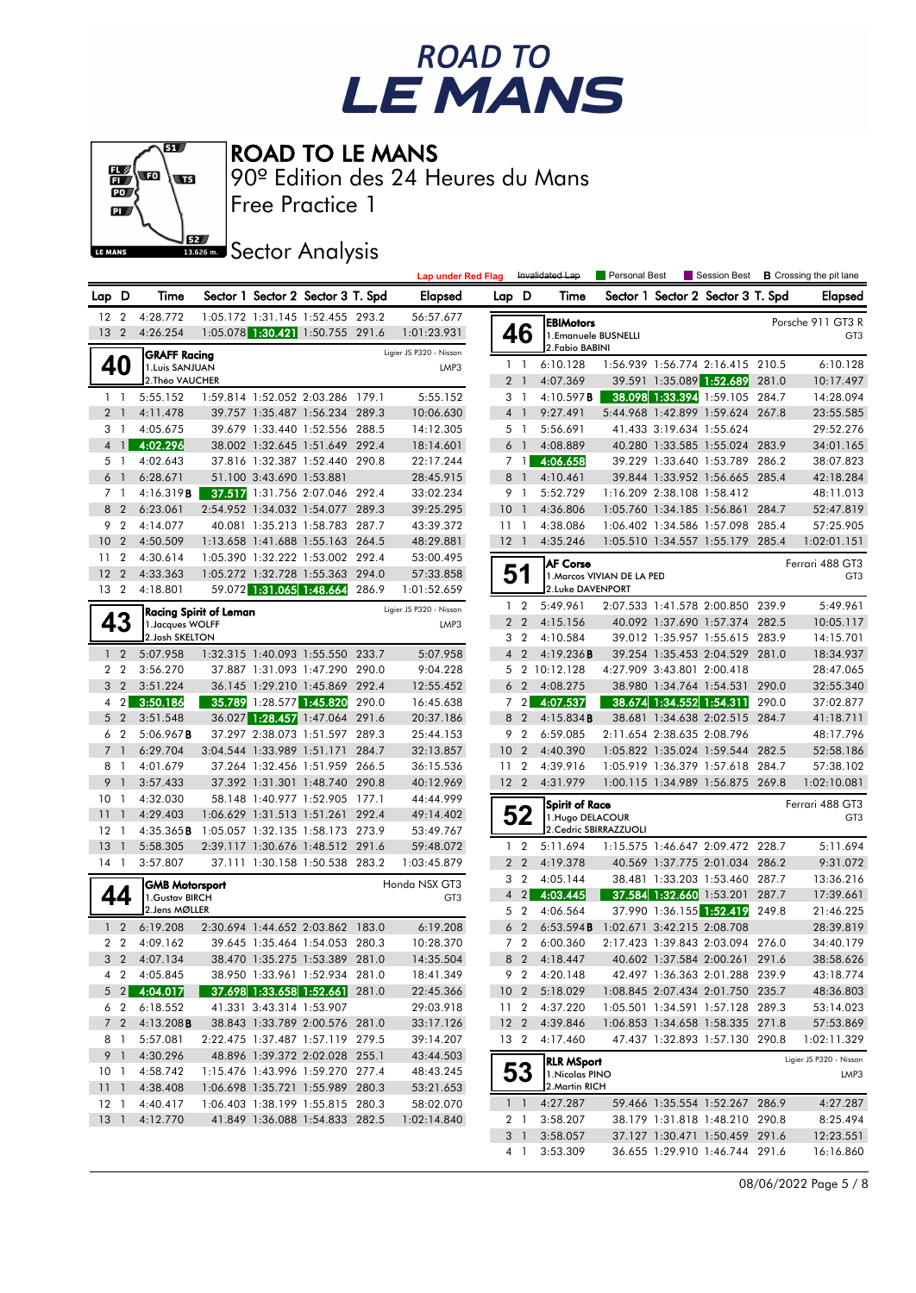



Free Practice 1 90º Edition des 24 Heures du Mans

**Sector Analysis** 

|                                  |                |                                     |                          |                                                                    | <b>Lap under Red Flag</b> |                 |                       | Invalidated Lap                    | Personal Best                  |                            |                                                                  |       | Session Best <b>B</b> Crossing the pit lane |
|----------------------------------|----------------|-------------------------------------|--------------------------|--------------------------------------------------------------------|---------------------------|-----------------|-----------------------|------------------------------------|--------------------------------|----------------------------|------------------------------------------------------------------|-------|---------------------------------------------|
| Lap D                            |                | Time                                |                          | Sector 1 Sector 2 Sector 3 T. Spd                                  | Elapsed                   | Lap D           |                       | Time                               |                                |                            | Sector 1 Sector 2 Sector 3 T. Spd                                |       | <b>Elapsed</b>                              |
| 12 <sub>2</sub>                  |                | 4:28.772                            |                          | 1:05.172 1:31.145 1:52.455 293.2                                   | 56:57.677                 |                 |                       | <b>EBIMotors</b>                   |                                |                            |                                                                  |       | Porsche 911 GT3 R                           |
| 13 <sub>2</sub>                  |                | 4:26.254                            |                          | 1:05.078 1:30.421 1:50.755 291.6                                   | 1:01:23.931               |                 | 46                    | 1. Emanuele BUSNELLI               |                                |                            |                                                                  |       | GT <sub>3</sub>                             |
|                                  |                | <b>GRAFF Racing</b>                 |                          |                                                                    | Ligier JS P320 - Nissan   |                 |                       | 2. Fabio BABINI                    |                                |                            |                                                                  |       |                                             |
| 40                               |                | 1.Luis SANJUAN                      |                          |                                                                    | LMP3                      |                 | $1\quad$              | 6:10.128                           |                                |                            | 1:56.939 1:56.774 2:16.415 210.5                                 |       | 6:10.128                                    |
|                                  |                | 2. Théo VAUCHER                     |                          |                                                                    |                           |                 | 2 <sub>1</sub>        | 4:07.369                           |                                |                            | 39.591 1:35.089 1:52.689 281.0                                   |       | 10:17.497                                   |
| $1\quad1$                        |                | 5:55.152                            |                          | 1:59.814 1:52.052 2:03.286 179.1                                   | 5:55.152                  |                 | 3 1                   | 4:10.597B                          |                                |                            | 38.098 1:33.394 1:59.105 284.7                                   |       | 14:28.094                                   |
| 2 <sub>1</sub>                   |                | 4:11.478                            |                          | 39.757 1:35.487 1:56.234 289.3                                     | 10:06.630                 |                 | 4 1                   | 9:27.491                           |                                |                            | 5:44.968 1:42.899 1:59.624 267.8                                 |       | 23:55.585                                   |
| 3 1                              |                | 4:05.675                            |                          | 39.679 1:33.440 1:52.556 288.5                                     | 14:12.305                 |                 | 5 1                   | 5:56.691                           |                                | 41.433 3:19.634 1:55.624   |                                                                  |       | 29:52.276                                   |
| $\overline{4}$                   | $\overline{1}$ | 4:02.296                            |                          | 38.002 1:32.645 1:51.649 292.4                                     | 18:14.601                 |                 | 6 1                   | 4:08.889                           |                                |                            | 40.280 1:33.585 1:55.024 283.9                                   |       | 34:01.165                                   |
| 5 1                              |                | 4:02.643                            |                          | 37.816 1:32.387 1:52.440 290.8                                     | 22:17.244                 |                 | $7 \quad 1$           | 4:06.658                           |                                |                            | 39.229 1:33.640 1:53.789 286.2                                   |       | 38:07.823                                   |
| 6 1                              |                | 6:28.671                            | 51.100 3:43.690 1:53.881 |                                                                    | 28:45.915                 |                 | 8 1                   | 4:10.461                           |                                |                            | 39.844 1:33.952 1:56.665 285.4                                   |       | 42:18.284                                   |
| 7 <sub>1</sub>                   |                | 4:16.319B                           |                          | 37.517 1:31.756 2:07.046 292.4                                     | 33:02.234                 |                 | 9 1                   | 5:52.729                           |                                | 1:16.209 2:38.108 1:58.412 |                                                                  |       | 48:11.013                                   |
| 8 2                              |                | 6:23.061                            |                          | 2:54.952 1:34.032 1:54.077 289.3                                   | 39:25.295                 | 10 <sub>1</sub> |                       | 4:36.806                           |                                |                            | 1:05.760 1:34.185 1:56.861 284.7                                 |       | 52:47.819                                   |
| 9 <sub>2</sub>                   |                | 4:14.077                            |                          | 40.081 1:35.213 1:58.783 287.7                                     | 43:39.372                 | 11              | $\overline{1}$        | 4:38.086                           |                                |                            | 1:06.402 1:34.586 1:57.098 285.4                                 |       | 57:25.905                                   |
| 10 <sub>2</sub>                  |                | 4:50.509                            |                          | 1:13.658 1:41.688 1:55.163 264.5                                   | 48:29.881                 | $12-1$          |                       | 4:35.246                           |                                |                            | 1:05.510 1:34.557 1:55.179 285.4                                 |       | 1:02:01.151                                 |
| 11 <sub>2</sub>                  |                | 4:30.614                            |                          | 1:05.390 1:32.222 1:53.002 292.4                                   | 53:00.495                 |                 |                       | <b>IAF Corse</b>                   |                                |                            |                                                                  |       | Ferrari 488 GT3                             |
| 12 <sub>2</sub>                  |                | 4:33.363                            |                          | 1:05.272 1:32.728 1:55.363 294.0                                   | 57:33.858                 |                 | 51                    |                                    | 1. Marcos VIVIAN DE LA PED     |                            |                                                                  |       | GT <sub>3</sub>                             |
| 13 2                             |                | 4:18.801                            |                          | 59.072 1:31.065 1:48.664 286.9                                     | 1:01:52.659               |                 |                       | 2.Luke DAVENPORT                   |                                |                            |                                                                  |       |                                             |
|                                  |                | <b>Racing Spirit of Leman</b>       |                          |                                                                    | Ligier JS P320 - Nissan   |                 | $1\quad 2$            | 5:49.961                           |                                |                            | 2:07.533 1:41.578 2:00.850 239.9                                 |       | 5:49.961                                    |
| 43                               |                | 1. Jacques WOLFF<br>2. Josh SKELTON |                          |                                                                    | LMP3                      |                 | 2 <sub>2</sub>        | 4:15.156                           |                                |                            | 40.092 1:37.690 1:57.374 282.5                                   |       | 10:05.117                                   |
|                                  |                |                                     |                          | 1:32.315 1:40.093 1:55.550 233.7                                   | 5:07.958                  |                 | 3 <sub>2</sub>        | 4:10.584                           |                                |                            | 39.012 1:35.957 1:55.615 283.9<br>39.254 1:35.453 2:04.529 281.0 |       | 14:15.701                                   |
| $1\quad2$                        |                | 5:07.958                            |                          |                                                                    | 9:04.228                  |                 | $4\quad2$             | 4:19.236B                          |                                | 4:27.909 3:43.801 2:00.418 |                                                                  |       | 18:34.937                                   |
| 2 <sub>2</sub><br>3 <sub>2</sub> |                | 3:56.270<br>3:51.224                |                          | 37.887 1:31.093 1:47.290 290.0<br>36.145 1:29.210 1:45.869 292.4   |                           |                 | 6 <sub>2</sub>        | 5 2 10:12.128<br>4:08.275          |                                |                            |                                                                  | 290.0 | 28:47.065<br>32:55.340                      |
| 4 <sup>2</sup>                   |                | 3:50.186                            |                          | 35.789 1:28.577 1:45.820 290.0                                     | 12:55.452<br>16:45.638    |                 | 72                    | 4:07.537                           |                                | 38.674 1:34.552 1:54.311   | 38.980 1:34.764 1:54.531                                         | 290.0 | 37:02.877                                   |
| 5 <sub>2</sub>                   |                | 3:51.548                            |                          | 36.027 1:28.457 1:47.064 291.6                                     | 20:37.186                 |                 | 8 2                   | 4:15.834B                          |                                |                            | 38.681 1:34.638 2:02.515 284.7                                   |       | 41:18.711                                   |
| 6 <sub>2</sub>                   |                | 5:06.967B                           |                          | 37.297 2:38.073 1:51.597 289.3                                     | 25:44.153                 |                 | 9 <sub>2</sub>        | 6:59.085                           |                                | 2:11.654 2:38.635 2:08.796 |                                                                  |       | 48:17.796                                   |
| $\overline{7}$                   | $\overline{1}$ | 6:29.704                            |                          | 3:04.544 1:33.989 1:51.171 284.7                                   | 32:13.857                 | 10              | $\overline{2}$        | 4:40.390                           |                                |                            | 1:05.822 1:35.024 1:59.544 282.5                                 |       | 52:58.186                                   |
| 8 1                              |                | 4:01.679                            |                          | 37.264 1:32.456 1:51.959 266.5                                     | 36:15.536                 | 11              | $\overline{2}$        | 4:39.916                           |                                |                            | 1:05.919 1:36.379 1:57.618                                       | 284.7 | 57:38.102                                   |
| 9                                | $\overline{1}$ | 3:57.433                            |                          | 37.392 1:31.301 1:48.740 290.8                                     | 40:12.969                 | 12 <sup>2</sup> |                       | 4:31.979                           |                                |                            | 1:00.115 1:34.989 1:56.875 269.8                                 |       | 1:02:10.081                                 |
| 10 <sub>1</sub>                  |                | 4:32.030                            |                          | 58.148 1:40.977 1:52.905 177.1                                     | 44:44.999                 |                 |                       |                                    |                                |                            |                                                                  |       |                                             |
| 11                               | $\overline{1}$ | 4:29.403                            |                          | 1:06.629 1:31.513 1:51.261 292.4                                   | 49:14.402                 |                 | 52                    | Spirit of Race<br>1. Hugo DELACOUR |                                |                            |                                                                  |       | Ferrari 488 GT3<br>GT <sub>3</sub>          |
| $12-1$                           |                | 4:35.365B                           |                          | 1:05.057 1:32.135 1:58.173 273.9                                   | 53:49.767                 |                 |                       | 2. Cedric SBIRRAZZUOLI             |                                |                            |                                                                  |       |                                             |
| 13                               | $\overline{1}$ | 5:58.305                            |                          | 2:39.117 1:30.676 1:48.512 291.6                                   | 59:48.072                 |                 | $1\quad 2$            | 5:11.694                           |                                |                            | 1:15.575 1:46.647 2:09.472 228.7                                 |       | 5:11.694                                    |
| $14-1$                           |                | 3:57.807                            |                          | 37.111 1:30.158 1:50.538 283.2                                     | 1:03:45.879               |                 | 2 <sub>2</sub>        | 4:19.378                           |                                |                            | 40.569 1:37.775 2:01.034 286.2                                   |       | 9:31.072                                    |
|                                  |                | <b>GMB Motorsport</b>               |                          |                                                                    | Honda NSX GT3             |                 | 3 <sub>2</sub>        | 4:05.144                           |                                |                            | 38.481 1:33.203 1:53.460 287.7                                   |       | 13:36.216                                   |
|                                  |                | 1. Gustav BIRCH                     |                          |                                                                    | GT <sub>3</sub>           |                 | $4\quad2$             | 4:03.445                           |                                |                            | 37.584 1:32.660 1:53.201 287.7                                   |       | 17:39.661                                   |
|                                  |                | 2. Jens MØLLER                      |                          |                                                                    |                           |                 | 5 <sub>2</sub>        | 4:06.564                           |                                |                            | 37.990 1:36.155 1:52.419 249.8                                   |       | 21:46.225                                   |
| $1\quad2$                        |                | 6:19.208                            |                          | 2:30.694 1:44.652 2:03.862 183.0                                   | 6:19.208                  |                 | 6 <sub>2</sub>        | 6:53.594B                          | 1:02.671 3:42.215 2:08.708     |                            |                                                                  |       | 28:39.819                                   |
| 2 <sub>2</sub>                   |                | 4:09.162                            |                          | 39.645 1:35.464 1:54.053 280.3                                     | 10:28.370                 |                 |                       | 7 2 6:00.360                       |                                |                            | 2:17.423 1:39.843 2:03.094 276.0                                 |       | 34:40.179                                   |
|                                  |                | 3 2 4:07.134                        |                          | 38.470 1:35.275 1:53.389 281.0                                     | 14:35.504                 |                 |                       | 8 2 4:18.447                       | 40.602 1:37.584 2:00.261 291.6 |                            |                                                                  |       | 38:58.626                                   |
|                                  |                | 4 2 4:05.845                        |                          | 38.950 1:33.961 1:52.934 281.0                                     | 18:41.349                 |                 |                       | 9 2 4:20.148                       |                                |                            | 42.497 1:36.363 2:01.288 239.9                                   |       | 43:18.774                                   |
|                                  |                | 5 2 4:04.017                        |                          | 37.698 1:33.658 1:52.661 281.0                                     | 22:45.366                 |                 |                       | 10 2 5:18.029                      |                                |                            | 1:08.845 2:07.434 2:01.750 235.7                                 |       | 48:36.803                                   |
|                                  | 6 2            | 6:18.552                            | 41.331 3:43.314 1:53.907 |                                                                    | 29:03.918                 |                 |                       | 11 2 4:37.220                      |                                |                            | 1:05.501 1:34.591 1:57.128 289.3                                 |       | 53:14.023                                   |
| 7 <sub>2</sub>                   |                | 4:13.208B                           |                          | 38.843 1:33.789 2:00.576 281.0                                     | 33:17.126                 |                 | 12 <sub>2</sub>       | 4:39.846                           |                                |                            | 1:06.853 1:34.658 1:58.335 271.8                                 |       | 57:53.869                                   |
| 8 1                              |                | 5:57.081                            |                          | 2:22.475 1:37.487 1:57.119 279.5                                   | 39:14.207                 |                 | 13 2                  | 4:17.460                           |                                |                            | 47.437 1:32.893 1:57.130 290.8                                   |       | 1:02:11.329                                 |
| 9 1                              |                | 4:30.296                            |                          | 48.896 1:39.372 2:02.028 255.1                                     | 43:44.503                 |                 |                       | <b>RLR MSport</b>                  |                                |                            |                                                                  |       | Ligier JS P320 - Nissan                     |
| 10 <sub>1</sub>                  |                | 4:58.742                            |                          | 1:15.476 1:43.996 1:59.270 277.4                                   | 48:43.245                 |                 | 53                    | 1. Nicolas PINO<br>2. Martin RICH  |                                |                            |                                                                  |       | LMP3                                        |
| $11 \quad 1$                     |                | 4:38.408                            |                          | 1:06.698 1:35.721 1:55.989 280.3                                   | 53:21.653                 |                 |                       |                                    |                                |                            |                                                                  |       |                                             |
| 12 1                             |                | 4:40.417                            |                          | 1:06.403 1:38.199 1:55.815 280.3<br>41.849 1:36.088 1:54.833 282.5 | 58:02.070                 |                 | $1\quad1$             | 4:27.287                           |                                |                            | 59.466 1:35.554 1:52.267 286.9                                   |       | 4:27.287                                    |
|                                  |                | 13 1 4:12.770                       |                          |                                                                    | 1:02:14.840               |                 | 2 1<br>3 <sup>1</sup> | 3:58.207<br>3:58.057               |                                |                            | 38.179 1:31.818 1:48.210 290.8<br>37.127 1:30.471 1:50.459 291.6 |       | 8:25.494<br>12:23.551                       |
|                                  |                |                                     |                          |                                                                    |                           |                 | 4 1                   | 3:53.309                           |                                |                            | 36.655 1:29.910 1:46.744 291.6                                   |       | 16:16.860                                   |
|                                  |                |                                     |                          |                                                                    |                           |                 |                       |                                    |                                |                            |                                                                  |       |                                             |

08/06/2022 Page 5 / 8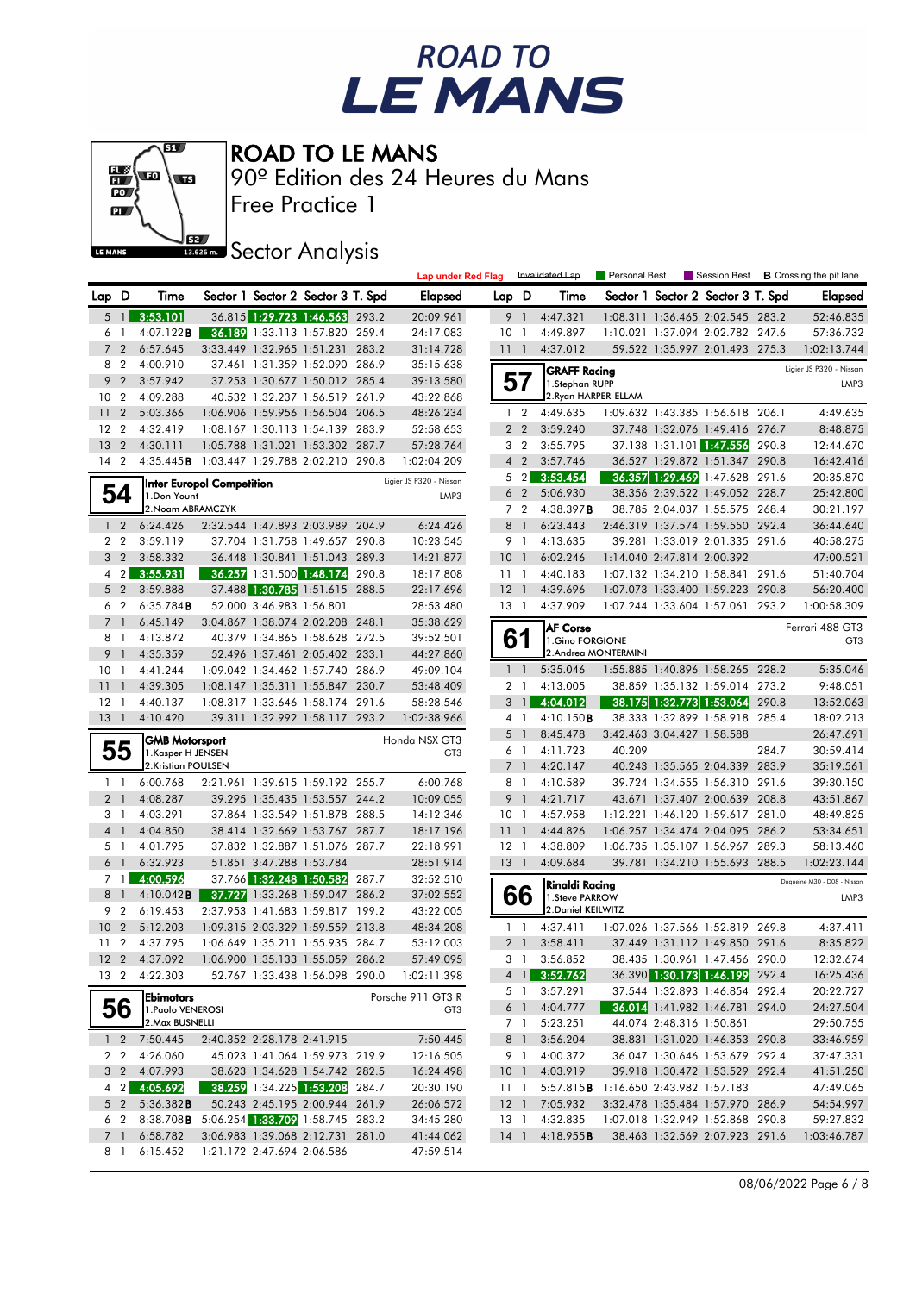



Free Practice 1 90º Edition des 24 Heures du Mans

**J**BEZ Sector Analysis

|                 |                                  |                                             |                            |                                                                      |       | <b>Lap under Red Flag</b> |                 |                                  | Invalidated Lap                      | Personal Best       | Session Best                                               |       | <b>B</b> Crossing the pit lane |
|-----------------|----------------------------------|---------------------------------------------|----------------------------|----------------------------------------------------------------------|-------|---------------------------|-----------------|----------------------------------|--------------------------------------|---------------------|------------------------------------------------------------|-------|--------------------------------|
| Lap D           |                                  | Time                                        |                            | Sector 1 Sector 2 Sector 3 T. Spd                                    |       | <b>Elapsed</b>            | Lap D           |                                  | Time                                 |                     | Sector 1 Sector 2 Sector 3 T. Spd                          |       | <b>Elapsed</b>                 |
| 5               | $\overline{1}$                   | 3:53.101                                    |                            | 36.815 1:29.723 1:46.563 293.2                                       |       | 20:09.961                 | 9               | $\overline{1}$                   | 4:47.321                             |                     | 1:08.311 1:36.465 2:02.545 283.2                           |       | 52:46.835                      |
| 6               | -1                               | 4:07.122B                                   |                            | 36.189 1:33.113 1:57.820 259.4                                       |       | 24:17.083                 | 10 <sup>°</sup> | -1                               | 4:49.897                             |                     | 1:10.021 1:37.094 2:02.782 247.6                           |       | 57:36.732                      |
|                 | 7 <sub>2</sub>                   | 6:57.645                                    |                            | 3:33.449 1:32.965 1:51.231 283.2                                     |       | 31:14.728                 | 111             |                                  | 4:37.012                             |                     | 59.522 1:35.997 2:01.493 275.3                             |       | 1:02:13.744                    |
| 8               | $\overline{2}$                   | 4:00.910                                    |                            | 37.461 1:31.359 1:52.090 286.9                                       |       | 35:15.638                 |                 |                                  | <b>GRAFF Racing</b>                  |                     |                                                            |       | Ligier JS P320 - Nissan        |
| 9               | $\overline{2}$                   | 3:57.942                                    |                            | 37.253 1:30.677 1:50.012 285.4                                       |       | 39:13.580                 |                 | 57                               | 1.Stephan RUPP                       |                     |                                                            |       | LMP3                           |
| 10              | $\overline{2}$                   | 4:09.288                                    |                            | 40.532 1:32.237 1:56.519 261.9                                       |       | 43:22.868                 |                 |                                  | 2. Ryan HARPER-ELLAM                 |                     |                                                            |       |                                |
| 11              | $\overline{2}$                   | 5:03.366                                    |                            | 1:06.906 1:59.956 1:56.504 206.5                                     |       | 48:26.234                 |                 | $1\quad 2$                       | 4:49.635                             |                     | 1:09.632 1:43.385 1:56.618 206.1                           |       | 4:49.635                       |
| 12              | $\overline{2}$                   | 4:32.419                                    |                            | 1:08.167 1:30.113 1:54.139 283.9                                     |       | 52:58.653                 |                 | 2 <sub>2</sub>                   | 3:59.240                             |                     | 37.748 1:32.076 1:49.416 276.7                             |       | 8:48.875                       |
| 13              | $\overline{2}$                   | 4:30.111                                    |                            | 1:05.788 1:31.021 1:53.302 287.7                                     |       | 57:28.764                 | 3               | $\overline{2}$                   | 3:55.795                             |                     | 37.138 1:31.101 1:47.556 290.8                             |       | 12:44.670                      |
| 14 <sup>2</sup> |                                  | 4:35.445B 1:03.447 1:29.788 2:02.210 290.8  |                            |                                                                      |       | 1:02:04.209               |                 | 4 <sup>2</sup>                   | 3:57.746                             |                     | 36.527 1:29.872 1:51.347 290.8                             |       | 16:42.416                      |
|                 |                                  | Inter Europol Competition                   |                            |                                                                      |       | Ligier JS P320 - Nissan   |                 | 5 <sub>2</sub>                   | 3:53.454                             |                     | <b>36.357 1:29.469 1:47.628 291.6</b>                      |       | 20:35.870                      |
|                 | 54                               | 1.Don Yount                                 |                            |                                                                      |       | LMP3                      |                 | 6 <sub>2</sub>                   | 5:06.930                             |                     | 38.356 2:39.522 1:49.052 228.7                             |       | 25:42.800                      |
|                 |                                  | 2. Noam ABRAMCZYK                           |                            |                                                                      |       |                           |                 | 7 <sub>2</sub>                   | 4:38.397B                            |                     | 38.785 2:04.037 1:55.575 268.4                             |       | 30:21.197                      |
| 1 <sub>2</sub>  |                                  | 6:24.426                                    |                            | 2:32.544 1:47.893 2:03.989 204.9                                     |       | 6:24.426                  | 8               | $\overline{1}$                   | 6:23.443                             |                     | 2:46.319 1:37.574 1:59.550 292.4                           |       | 36:44.640                      |
| 2 <sub>2</sub>  |                                  | 3:59.119                                    |                            | 37.704 1:31.758 1:49.657 290.8                                       |       | 10:23.545                 |                 | 9 1                              | 4:13.635                             |                     | 39.281 1:33.019 2:01.335 291.6                             |       | 40:58.275                      |
|                 | 3 <sub>2</sub>                   | 3:58.332                                    |                            | 36.448 1:30.841 1:51.043 289.3                                       |       | 14:21.877                 | $10-1$          |                                  | 6:02.246                             |                     | 1:14.040 2:47.814 2:00.392                                 |       | 47:00.521                      |
| 4               | 2 <sup>1</sup>                   | 3:55.931                                    |                            | 36.257 1:31.500 1:48.174                                             | 290.8 | 18:17.808                 | $11-1$          |                                  | 4:40.183                             |                     | 1:07.132 1:34.210 1:58.841 291.6                           |       | 51:40.704                      |
|                 | 5 <sub>2</sub>                   | 3:59.888                                    |                            | 37.488 1:30.785 1:51.615 288.5                                       |       | 22:17.696                 | $12-1$          |                                  | 4:39.696                             |                     | 1:07.073 1:33.400 1:59.223 290.8                           |       | 56:20.400                      |
| 6 <sub>2</sub>  |                                  | 6:35.784B                                   | 52.000 3:46.983 1:56.801   |                                                                      |       | 28:53.480                 | $13-1$          |                                  | 4:37.909                             |                     | 1:07.244 1:33.604 1:57.061 293.2                           |       | 1:00:58.309                    |
| 7 <sub>1</sub>  |                                  | 6:45.149                                    |                            | 3:04.867 1:38.074 2:02.208 248.1                                     |       | 35:38.629                 |                 |                                  | <b>AF Corse</b>                      |                     |                                                            |       | Ferrari 488 GT3                |
| 8 1             |                                  | 4:13.872                                    | 40.379 1:34.865 1:58.628   |                                                                      | 272.5 | 39:52.501                 |                 | 61                               | 1.Gino FORGIONE                      | 2.Andrea MONTERMINI |                                                            |       | GT <sub>3</sub>                |
| 9               | $\overline{1}$                   | 4:35.359                                    |                            | 52.496 1:37.461 2:05.402 233.1                                       |       | 44:27.860                 |                 |                                  |                                      |                     | 1:55.885 1:40.896 1:58.265 228.2                           |       |                                |
| 10 <sub>1</sub> |                                  | 4:41.244                                    |                            | 1:09.042 1:34.462 1:57.740 286.9<br>1:08.147 1:35.311 1:55.847 230.7 |       | 49:09.104                 |                 | 1 <sup>1</sup>                   | 5:35.046                             |                     |                                                            |       | 5:35.046<br>9:48.051           |
| 11<br>12        | $\overline{1}$<br>$\overline{1}$ | 4:39.305<br>4:40.137                        |                            | 1:08.317 1:33.646 1:58.174 291.6                                     |       | 53:48.409                 | 3               | 2 <sub>1</sub><br>$\overline{1}$ | 4:13.005<br>4:04.012                 |                     | 38.859 1:35.132 1:59.014 273.2<br>38.175 1:32.773 1:53.064 | 290.8 | 13:52.063                      |
| $13-1$          |                                  | 4:10.420                                    |                            | 39.311 1:32.992 1:58.117 293.2                                       |       | 58:28.546<br>1:02:38.966  |                 | 4 <sup>1</sup>                   | 4:10.150B                            |                     | 38.333 1:32.899 1:58.918 285.4                             |       | 18:02.213                      |
|                 |                                  |                                             |                            |                                                                      |       |                           |                 | 5 <sub>1</sub>                   | 8:45.478                             |                     | 3:42.463 3:04.427 1:58.588                                 |       | 26:47.691                      |
|                 | 55                               | <b>GMB Motorsport</b>                       |                            |                                                                      |       | Honda NSX GT3             |                 | $6-1$                            | 4:11.723                             | 40.209              |                                                            | 284.7 | 30:59.414                      |
|                 |                                  | 1.Kasper H JENSEN<br>2.Kristian POULSEN     |                            |                                                                      |       | GT <sub>3</sub>           |                 | 7 <sup>1</sup>                   | 4:20.147                             |                     | 40.243 1:35.565 2:04.339 283.9                             |       | 35:19.561                      |
| $1\quad$        |                                  | 6:00.768                                    |                            | 2:21.961 1:39.615 1:59.192 255.7                                     |       | 6:00.768                  |                 | 8 1                              | 4:10.589                             |                     | 39.724 1:34.555 1:56.310 291.6                             |       | 39:30.150                      |
| 2 <sub>1</sub>  |                                  | 4:08.287                                    |                            | 39.295 1:35.435 1:53.557 244.2                                       |       | 10:09.055                 |                 | 9 1                              | 4:21.717                             |                     | 43.671 1:37.407 2:00.639 208.8                             |       | 43:51.867                      |
| 3 1             |                                  | 4:03.291                                    |                            | 37.864 1:33.549 1:51.878 288.5                                       |       | 14:12.346                 | 10 <sub>1</sub> |                                  | 4:57.958                             |                     | 1:12.221 1:46.120 1:59.617 281.0                           |       | 48:49.825                      |
| 4 1             |                                  | 4:04.850                                    |                            | 38.414 1:32.669 1:53.767 287.7                                       |       | 18:17.196                 | 11              | $\overline{1}$                   | 4:44.826                             |                     | 1:06.257 1:34.474 2:04.095 286.2                           |       | 53:34.651                      |
| 5 1             |                                  | 4:01.795                                    |                            | 37.832 1:32.887 1:51.076 287.7                                       |       | 22:18.991                 | $12-1$          |                                  | 4:38.809                             |                     | 1:06.735 1:35.107 1:56.967 289.3                           |       | 58:13.460                      |
|                 | 6 <sup>1</sup>                   | 6:32.923                                    | 51.851 3:47.288 1:53.784   |                                                                      |       | 28:51.914                 | $13-1$          |                                  | 4:09.684                             |                     | 39.781 1:34.210 1:55.693 288.5                             |       | 1:02:23.144                    |
|                 | 7 <sub>1</sub>                   | 4:00.596                                    | 37.766 1:32.248 1:50.582   |                                                                      | 287.7 | 32:52.510                 |                 |                                  |                                      |                     |                                                            |       | Dugueine M30 - D08 - Nissan    |
| 8 <sup>1</sup>  |                                  | $4:10.042$ <b>B</b>                         |                            | 37.727 1:33.268 1:59.047 286.2                                       |       | 37:02.552                 |                 | 66                               | Rinaldi Racing<br>1. Steve PARROW    |                     |                                                            |       | LMP3                           |
| 9 <sub>2</sub>  |                                  | 6:19.453                                    |                            | 2:37.953 1:41.683 1:59.817 199.2                                     |       | 43:22.005                 |                 |                                  | 2. Daniel KEILWITZ                   |                     |                                                            |       |                                |
| 10 <sub>2</sub> |                                  | 5:12.203                                    |                            | 1:09.315 2:03.329 1:59.559 213.8                                     |       | 48:34.208                 |                 | $1\quad$                         | 4:37.411                             |                     | 1:07.026 1:37.566 1:52.819 269.8                           |       | 4:37.411                       |
| 11              | $\overline{2}$                   | 4:37.795                                    |                            | 1:06.649 1:35.211 1:55.935 284.7                                     |       | 53:12.003                 |                 | $2-1$                            | 3:58.411                             |                     | 37.449 1:31.112 1:49.850 291.6                             |       | 8:35.822                       |
|                 |                                  | 12 2 4:37.092                               |                            | 1:06.900 1:35.133 1:55.059 286.2                                     |       | 57:49.095                 |                 | 31                               | 3:56.852                             |                     | 38.435 1:30.961 1:47.456 290.0                             |       | 12:32.674                      |
|                 |                                  | 13 2 4:22.303                               |                            | 52.767 1:33.438 1:56.098 290.0                                       |       | 1:02:11.398               |                 |                                  | 4 1 3:52.762                         |                     | 36.390 1:30.173 1:46.199 292.4                             |       | 16:25.436                      |
|                 |                                  | <b>Ebimotors</b>                            |                            |                                                                      |       | Porsche 911 GT3 R         |                 | 5 1                              | 3:57.291                             |                     | 37.544 1:32.893 1:46.854 292.4                             |       | 20:22.727                      |
|                 | 56                               | 1. Paolo VENEROSI                           |                            |                                                                      |       | GT3                       |                 |                                  | 6 1 4:04.777                         |                     | 36.014 1:41.982 1:46.781 294.0                             |       | 24:27.504                      |
|                 |                                  | 2. Max BUSNELLI                             |                            |                                                                      |       |                           |                 | 7 1                              | 5:23.251                             |                     | 44.074 2:48.316 1:50.861                                   |       | 29:50.755                      |
|                 | $1\quad2$                        | 7:50.445                                    | 2:40.352 2:28.178 2:41.915 |                                                                      |       | 7:50.445                  |                 | 8 1                              | 3:56.204                             |                     | 38.831 1:31.020 1:46.353 290.8                             |       | 33:46.959                      |
|                 | 2 2                              | 4:26.060                                    |                            | 45.023 1:41.064 1:59.973 219.9                                       |       | 12:16.505                 |                 | 9 1                              | 4:00.372                             |                     | 36.047 1:30.646 1:53.679 292.4                             |       | 37:47.331                      |
|                 | $3\quad2$                        | 4:07.993                                    |                            | 38.623 1:34.628 1:54.742 282.5                                       |       | 16:24.498                 | 10 <sub>1</sub> |                                  | 4:03.919                             |                     | 39.918 1:30.472 1:53.529 292.4                             |       | 41:51.250                      |
|                 |                                  | 4 2 4:05.692                                |                            | 38.259 1:34.225 1:53.208 284.7                                       |       | 20:30.190                 | 11 1            |                                  | 5:57.815B 1:16.650 2:43.982 1:57.183 |                     |                                                            |       | 47:49.065                      |
|                 | $5\quad2$                        | 5:36.382B                                   |                            | 50.243 2:45.195 2:00.944 261.9                                       |       | 26:06.572                 |                 |                                  | 12 1 7:05.932                        |                     | 3:32.478 1:35.484 1:57.970 286.9                           |       | 54:54.997                      |
|                 | 6 2                              | 8:38.708 B 5:06.254 1:33.709 1:58.745 283.2 |                            |                                                                      |       | 34:45.280                 | 13 1            |                                  | 4:32.835                             |                     | 1:07.018 1:32.949 1:52.868 290.8                           |       | 59:27.832                      |
|                 | 7 <sup>1</sup>                   | 6:58.782                                    |                            | 3:06.983 1:39.068 2:12.731 281.0                                     |       | 41:44.062                 |                 |                                  | 14 1 4:18.955 <b>B</b>               |                     | 38.463 1:32.569 2:07.923 291.6                             |       | 1:03:46.787                    |
|                 | 8 1                              | 6:15.452                                    | 1:21.172 2:47.694 2:06.586 |                                                                      |       | 47:59.514                 |                 |                                  |                                      |                     |                                                            |       |                                |

08/06/2022 Page 6 / 8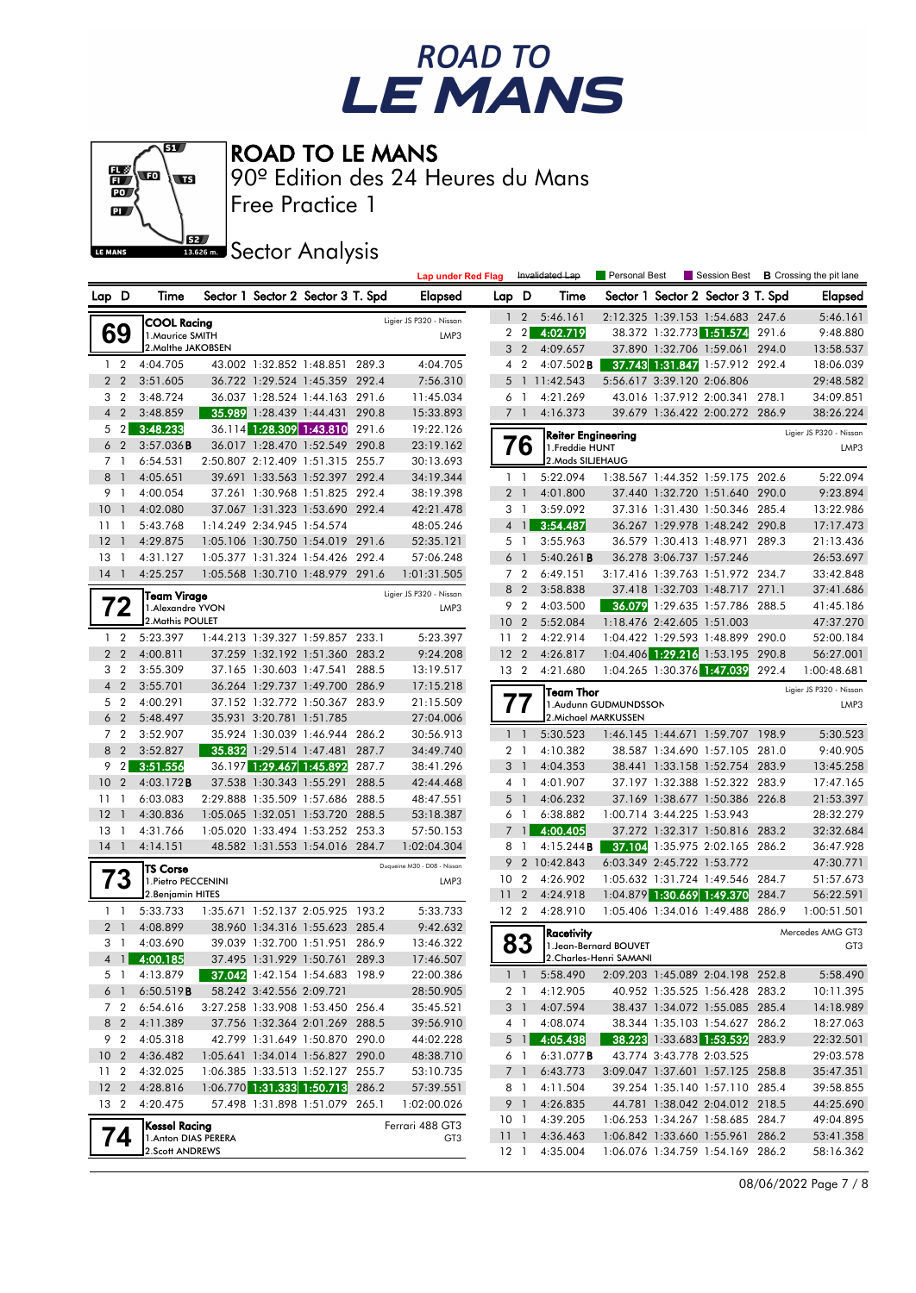



Free Practice 1 90º Edition des 24 Heures du Mans

**J**BEZ Sector Analysis

|                 |                            |                                       |                            |                                                                  |       | <b>Lap under Red Flag</b>          |                 |                       | Invalidated Lap                        | Personal Best                                     | Session Best                                                       |       | <b>B</b> Crossing the pit lane |
|-----------------|----------------------------|---------------------------------------|----------------------------|------------------------------------------------------------------|-------|------------------------------------|-----------------|-----------------------|----------------------------------------|---------------------------------------------------|--------------------------------------------------------------------|-------|--------------------------------|
| Lap D           |                            | Time                                  |                            | Sector 1 Sector 2 Sector 3 T. Spd                                |       | Elapsed                            | Lap D           |                       | Time                                   |                                                   | Sector 1 Sector 2 Sector 3 T. Spd                                  |       | <b>Elapsed</b>                 |
|                 |                            | COOL Racing                           |                            |                                                                  |       | Ligier JS P320 - Nissan            | 1               | $\overline{2}$        | 5:46.161                               |                                                   | 2:12.325 1:39.153 1:54.683 247.6                                   |       | 5:46.161                       |
|                 | 69                         | 1. Maurice SMITH                      |                            |                                                                  |       | LMP3                               |                 | 2 <sub>2</sub>        | 4:02.719                               |                                                   | 38.372 1:32.773 1:51.574 291.6                                     |       | 9:48.880                       |
|                 |                            | 2. Malthe JAKOBSEN                    |                            |                                                                  |       |                                    |                 | 3 <sub>2</sub>        | 4:09.657                               |                                                   | 37.890 1:32.706 1:59.061 294.0                                     |       | 13:58.537                      |
|                 | $1\quad 2$                 | 4:04.705                              |                            | 43.002 1:32.852 1:48.851 289.3                                   |       | 4:04.705                           |                 | 4 <sup>2</sup>        | 4:07.502B                              |                                                   | 37.743 1:31.847 1:57.912 292.4                                     |       | 18:06.039                      |
|                 | 2 <sub>2</sub>             | 3:51.605                              |                            | 36.722 1:29.524 1:45.359 292.4                                   |       | 7:56.310                           | 5               |                       | 1 11:42.543                            | 5:56.617 3:39.120 2:06.806                        |                                                                    |       | 29:48.582                      |
|                 | 3 <sub>2</sub>             | 3:48.724                              |                            | 36.037 1:28.524 1:44.163 291.6                                   |       | 11:45.034                          | 6               | $\mathbf{1}$          | 4:21.269                               |                                                   | 43.016 1:37.912 2:00.341 278.1                                     |       | 34:09.851                      |
|                 | 4 <sup>2</sup>             | 3:48.859                              |                            | 35.989 1:28.439 1:44.431 290.8                                   |       | 15:33.893                          | $\overline{7}$  | $\overline{1}$        | 4:16.373                               |                                                   | 39.679 1:36.422 2:00.272 286.9                                     |       | 38:26.224                      |
| 5               | $\sqrt{2}$                 | 3:48.233                              |                            | 36.114 1:28.309 1:43.810                                         | 291.6 | 19:22.126                          |                 |                       | <b>Reiter Engineering</b>              |                                                   |                                                                    |       | Ligier JS P320 - Nissan        |
|                 | 6 <sub>2</sub>             | 3:57.036B                             |                            | 36.017 1:28.470 1:52.549 290.8                                   |       | 23:19.162                          |                 | 76                    | 1. Freddie HUNT                        |                                                   |                                                                    |       | LMP3                           |
|                 | 7 <sub>1</sub>             | 6:54.531                              |                            | 2:50.807 2:12.409 1:51.315 255.7                                 |       | 30:13.693                          |                 |                       | 2. Mads SILJEHAUG                      |                                                   |                                                                    |       |                                |
|                 | 8 <sup>1</sup>             | 4:05.651                              |                            | 39.691 1:33.563 1:52.397 292.4                                   |       | 34:19.344                          |                 | $1\quad$              | 5:22.094                               |                                                   | 1:38.567 1:44.352 1:59.175 202.6                                   |       | 5:22.094                       |
|                 | 9 1                        | 4:00.054                              |                            | 37.261 1:30.968 1:51.825 292.4                                   |       | 38:19.398                          |                 | 2 <sub>1</sub>        | 4:01.800                               |                                                   | 37.440 1:32.720 1:51.640 290.0                                     |       | 9:23.894                       |
| 10 <sub>1</sub> |                            | 4:02.080                              |                            | 37.067 1:31.323 1:53.690 292.4                                   |       | 42:21.478                          |                 | $3-1$                 | 3:59.092                               |                                                   | 37.316 1:31.430 1:50.346 285.4                                     |       | 13:22.986                      |
| 11              | -1                         | 5:43.768                              | 1:14.249 2:34.945 1:54.574 |                                                                  |       | 48:05.246                          |                 | $4 \mid$              | 3:54.487                               |                                                   | 36.267 1:29.978 1:48.242 290.8                                     |       | 17:17.473                      |
| 12              | $\overline{1}$             | 4:29.875                              |                            | 1:05.106 1:30.750 1:54.019 291.6                                 |       | 52:35.121                          |                 | 5 <sub>1</sub>        | 3:55.963                               |                                                   | 36.579 1:30.413 1:48.971 289.3                                     |       | 21:13.436                      |
| 13              | $\overline{1}$             | 4:31.127                              |                            | 1:05.377 1:31.324 1:54.426 292.4                                 |       | 57:06.248                          | 6               | $\overline{1}$        | 5:40.261B                              |                                                   | 36.278 3:06.737 1:57.246                                           |       | 26:53.697                      |
| $14-1$          |                            | 4:25.257                              |                            | 1:05.568 1:30.710 1:48.979 291.6                                 |       | 1:01:31.505                        |                 | 7 <sub>2</sub>        | 6:49.151                               |                                                   | 3:17.416 1:39.763 1:51.972 234.7                                   |       | 33:42.848                      |
|                 |                            | Team Virage                           |                            |                                                                  |       | Ligier JS P320 - Nissan            |                 | 8 2                   | 3:58.838                               |                                                   | 37.418 1:32.703 1:48.717 271.1                                     |       | 37:41.686                      |
|                 | 72                         | 1. Alexandre YVON                     |                            |                                                                  |       | LMP3                               |                 | 9 2                   | 4:03.500                               |                                                   | 36.079 1:29.635 1:57.786 288.5                                     |       | 41:45.186                      |
|                 |                            | 2. Mathis POULET                      |                            |                                                                  |       |                                    | 10 <sub>2</sub> |                       | 5:52.084                               | 1:18.476 2:42.605 1:51.003                        |                                                                    |       | 47:37.270                      |
|                 | $1\quad2$                  | 5:23.397                              |                            | 1:44.213 1:39.327 1:59.857 233.1                                 |       | 5:23.397                           | 11 <sub>2</sub> |                       | 4:22.914                               |                                                   | 1:04.422 1:29.593 1:48.899 290.0                                   |       | 52:00.184                      |
|                 | 2 <sub>2</sub>             | 4:00.811                              |                            | 37.259 1:32.192 1:51.360 283.2                                   |       | 9:24.208                           | 12 <sub>2</sub> |                       | 4:26.817                               |                                                   | 1:04.406 1:29.216 1:53.195 290.8                                   |       | 56:27.001                      |
|                 | 3 <sub>2</sub>             | 3:55.309                              |                            | 37.165 1:30.603 1:47.541 288.5                                   |       | 13:19.517                          | 13 <sub>2</sub> |                       | 4:21.680                               |                                                   | 1:04.265 1:30.376 1:47.039                                         | 292.4 | 1:00:48.681                    |
|                 | $4\quad2$                  | 3:55.701                              |                            | 36.264 1:29.737 1:49.700 286.9                                   |       | 17:15.218                          |                 |                       | Team Thor                              |                                                   |                                                                    |       | Ligier JS P320 - Nissan        |
|                 | 5 <sub>2</sub>             | 4:00.291                              |                            | 37.152 1:32.772 1:50.367 283.9                                   |       | 21:15.509                          |                 | 77                    |                                        | 1.Audunn GUDMUNDSSON                              |                                                                    |       | LMP3                           |
|                 | 6 <sub>2</sub>             | 5:48.497                              | 35.931 3:20.781 1:51.785   |                                                                  |       | 27:04.006                          |                 |                       | 2. Michael MARKUSSEN                   |                                                   |                                                                    |       |                                |
|                 | 7 <sub>2</sub>             | 3:52.907                              |                            | 35.924 1:30.039 1:46.944 286.2                                   |       | 30:56.913                          |                 | $1\quad$              | 5:30.523                               |                                                   | 1:46.145 1:44.671 1:59.707 198.9                                   |       | 5:30.523                       |
|                 | 8 2                        | 3:52.827                              |                            | 35.832 1:29.514 1:47.481                                         | 287.7 | 34:49.740                          |                 | 2 <sub>1</sub>        | 4:10.382                               |                                                   | 38.587 1:34.690 1:57.105 281.0                                     |       | 9:40.905                       |
| 9               | 2 <sub>l</sub>             | 3:51.556                              | 36.197 1:29.467 1:45.892   |                                                                  | 287.7 | 38:41.296                          |                 | 3 <sup>1</sup>        | 4:04.353                               |                                                   | 38.441 1:33.158 1:52.754 283.9                                     |       | 13:45.258                      |
| 10 <sub>2</sub> |                            | 4:03.172B                             | 37.538 1:30.343 1:55.291   |                                                                  | 288.5 | 42:44.468                          |                 | 4 1                   | 4:01.907                               |                                                   | 37.197 1:32.388 1:52.322 283.9                                     |       | 17:47.165                      |
| 11              | $\overline{1}$             | 6:03.083                              |                            | 2:29.888 1:35.509 1:57.686 288.5                                 |       | 48:47.551                          |                 | 5 <sub>1</sub>        | 4:06.232                               |                                                   | 37.169 1:38.677 1:50.386 226.8                                     |       | 21:53.397                      |
| 12              | $\overline{1}$             | 4:30.836                              |                            | 1:05.065 1:32.051 1:53.720 288.5                                 |       | 53:18.387                          |                 | 6 1                   | 6:38.882                               | 1:00.714 3:44.225 1:53.943                        |                                                                    |       | 28:32.279                      |
| 13              | $\overline{1}$             | 4:31.766                              |                            | 1:05.020 1:33.494 1:53.252 253.3                                 |       | 57:50.153                          |                 | 7 <sup>1</sup>        | 4:00.405                               |                                                   | 37.272 1:32.317 1:50.816 283.2                                     |       | 32:32.684                      |
| $14-1$          |                            | 4:14.151                              |                            | 48.582 1:31.553 1:54.016 284.7                                   |       | 1:02:04.304                        |                 | 8 1                   | 4:15.244B                              |                                                   | 37.104 1:35.975 2:02.165 286.2                                     |       | 36:47.928                      |
|                 |                            | <b>TS Corse</b>                       |                            |                                                                  |       | Duaueine M30 - D08 - Nissan        | 9               |                       | 2 10:42.843                            | 6:03.349 2:45.722 1:53.772                        |                                                                    |       | 47:30.771                      |
|                 | 73                         | 1. Pietro PECCENINI                   |                            |                                                                  |       | LMP3                               | 10              | $\overline{2}$        | 4:26.902                               |                                                   | 1:05.632 1:31.724 1:49.546 284.7                                   |       | 51:57.673                      |
|                 |                            | 2. Benjamin HITES                     |                            |                                                                  |       |                                    | 11              | $\overline{2}$        | 4:24.918                               |                                                   | 1:04.879 1:30.669 1:49.370                                         | 284.7 | 56:22.591                      |
|                 | $1\quad$<br>2 <sub>1</sub> | 5:33.733                              |                            | 1:35.671 1:52.137 2:05.925 193.2                                 |       | 5:33.733                           | 12 2            |                       | 4:28.910                               |                                                   | 1:05.406 1:34.016 1:49.488 286.9                                   |       | 1:00:51.501                    |
|                 | 3 1                        | 4:08.899<br>4:03.690                  |                            | 38.960 1:34.316 1:55.623 285.4<br>39.039 1:32.700 1:51.951 286.9 |       | 9:42.632<br>13:46.322              |                 |                       | Racelivity                             |                                                   |                                                                    |       | Mercedes AMG GT3               |
|                 |                            | 4 1 4:00.185                          |                            | 37.495 1:31.929 1:50.761 289.3                                   |       |                                    |                 | 83                    |                                        | 1. Jean-Bernard BOUVET<br>2. Charles-Henri SAMANI |                                                                    |       | GT <sub>3</sub>                |
|                 |                            |                                       |                            | 37.042 1:42.154 1:54.683 198.9                                   |       | 17:46.507                          |                 |                       |                                        |                                                   |                                                                    |       |                                |
|                 | 5 1                        | 4:13.879<br>6:50.519B                 | 58.242 3:42.556 2:09.721   |                                                                  |       | 22:00.386                          |                 |                       | $1 \quad 1 \quad 5:58.490$<br>4:12.905 |                                                   | 2:09.203 1:45.089 2:04.198 252.8<br>40.952 1:35.525 1:56.428 283.2 |       | 5:58.490                       |
|                 | 6 1<br>7 <sub>2</sub>      | 6:54.616                              |                            | 3:27.258 1:33.908 1:53.450 256.4                                 |       | 28:50.905<br>35:45.521             |                 | 2 1<br>3 <sup>1</sup> | 4:07.594                               |                                                   | 38.437 1:34.072 1:55.085 285.4                                     |       | 10:11.395<br>14:18.989         |
|                 | 8 2                        | 4:11.389                              |                            | 37.756 1:32.364 2:01.269 288.5                                   |       | 39:56.910                          |                 | 4 1                   | 4:08.074                               |                                                   | 38.344 1:35.103 1:54.627 286.2                                     |       | 18:27.063                      |
|                 | 9 2                        | 4:05.318                              |                            | 42.799 1:31.649 1:50.870 290.0                                   |       | 44:02.228                          |                 | $5 \mid$              | 4:05.438                               |                                                   | 38.223 1:33.683 1:53.532 283.9                                     |       | 22:32.501                      |
| 10 <sub>2</sub> |                            | 4:36.482                              |                            | 1:05.641 1:34.014 1:56.827 290.0                                 |       | 48:38.710                          |                 | 6 1                   | 6:31.077 <b>B</b>                      |                                                   | 43.774 3:43.778 2:03.525                                           |       | 29:03.578                      |
| 11 <sub>2</sub> |                            | 4:32.025                              |                            | 1:06.385 1:33.513 1:52.127 255.7                                 |       | 53:10.735                          |                 | 7 <sup>1</sup>        | 6:43.773                               |                                                   | 3:09.047 1:37.601 1:57.125 258.8                                   |       | 35:47.351                      |
| 12 <sub>2</sub> |                            | 4:28.816                              |                            | 1:06.770 1:31.333 1:50.713 286.2                                 |       | 57:39.551                          |                 | 8 1                   | 4:11.504                               |                                                   | 39.254 1:35.140 1:57.110 285.4                                     |       | 39:58.855                      |
| 13 2            |                            | 4:20.475                              |                            | 57.498 1:31.898 1:51.079 265.1                                   |       | 1:02:00.026                        |                 | 9 1                   | 4:26.835                               |                                                   | 44.781 1:38.042 2:04.012 218.5                                     |       | 44:25.690                      |
|                 |                            |                                       |                            |                                                                  |       |                                    |                 | 10 1                  | 4:39.205                               |                                                   | 1:06.253 1:34.267 1:58.685 284.7                                   |       | 49:04.895                      |
|                 | $\overline{14}$            | Kessel Racing<br>1. Anton DIAS PERERA |                            |                                                                  |       | Ferrari 488 GT3<br>GT <sub>3</sub> | 11 <sub>1</sub> |                       | 4:36.463                               |                                                   | 1:06.842 1:33.660 1:55.961 286.2                                   |       | 53:41.358                      |
|                 |                            | 2.Scott ANDREWS                       |                            |                                                                  |       |                                    | $12-1$          |                       | 4:35.004                               |                                                   | 1:06.076 1:34.759 1:54.169 286.2                                   |       | 58:16.362                      |
|                 |                            |                                       |                            |                                                                  |       |                                    |                 |                       |                                        |                                                   |                                                                    |       |                                |

08/06/2022 Page 7 / 8